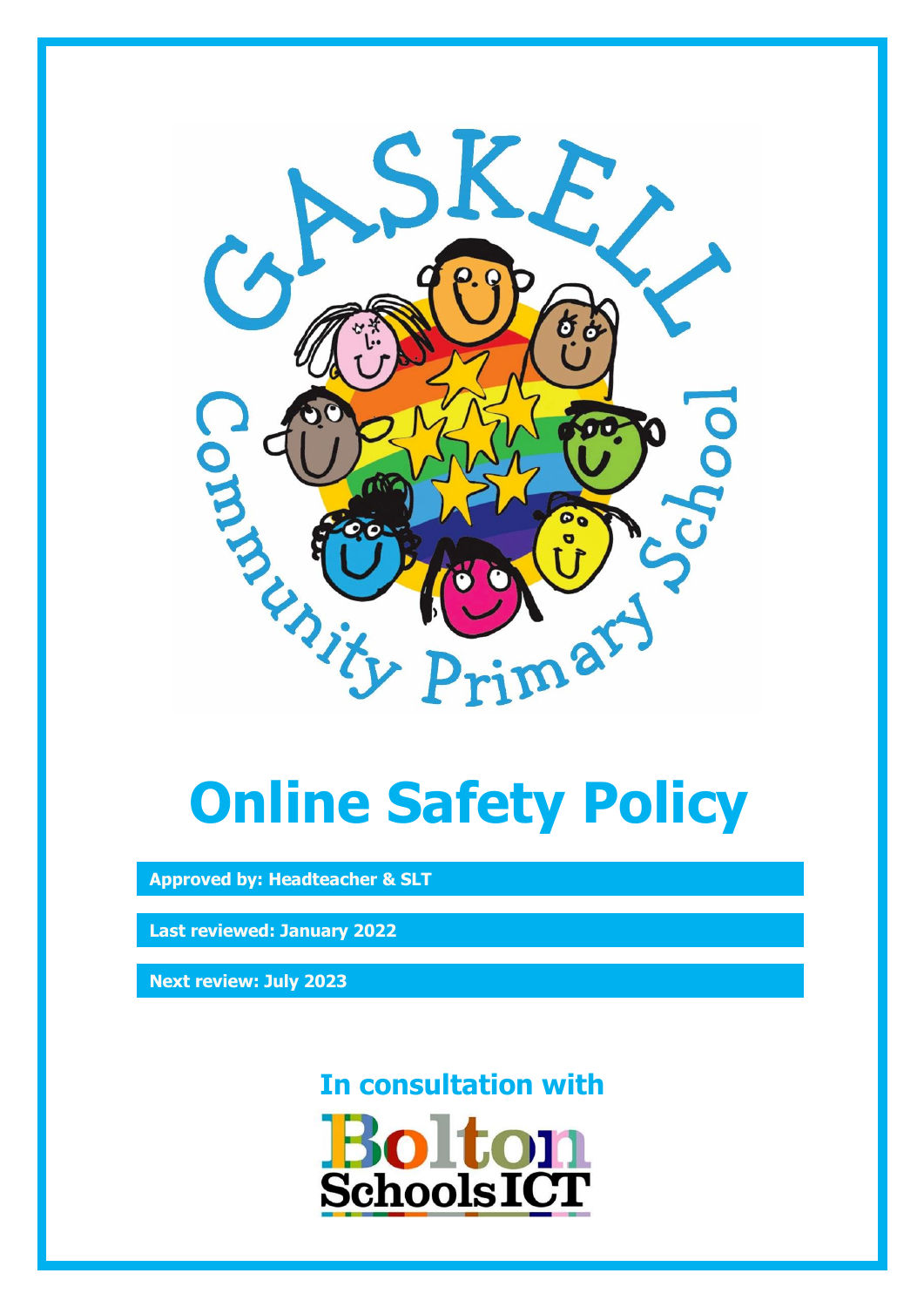

# **Online Safety Policy**

**Approved by: Headteacher & SLT**

**Last reviewed: January 2022**

**Next review: July 2023**

**In consultation with**

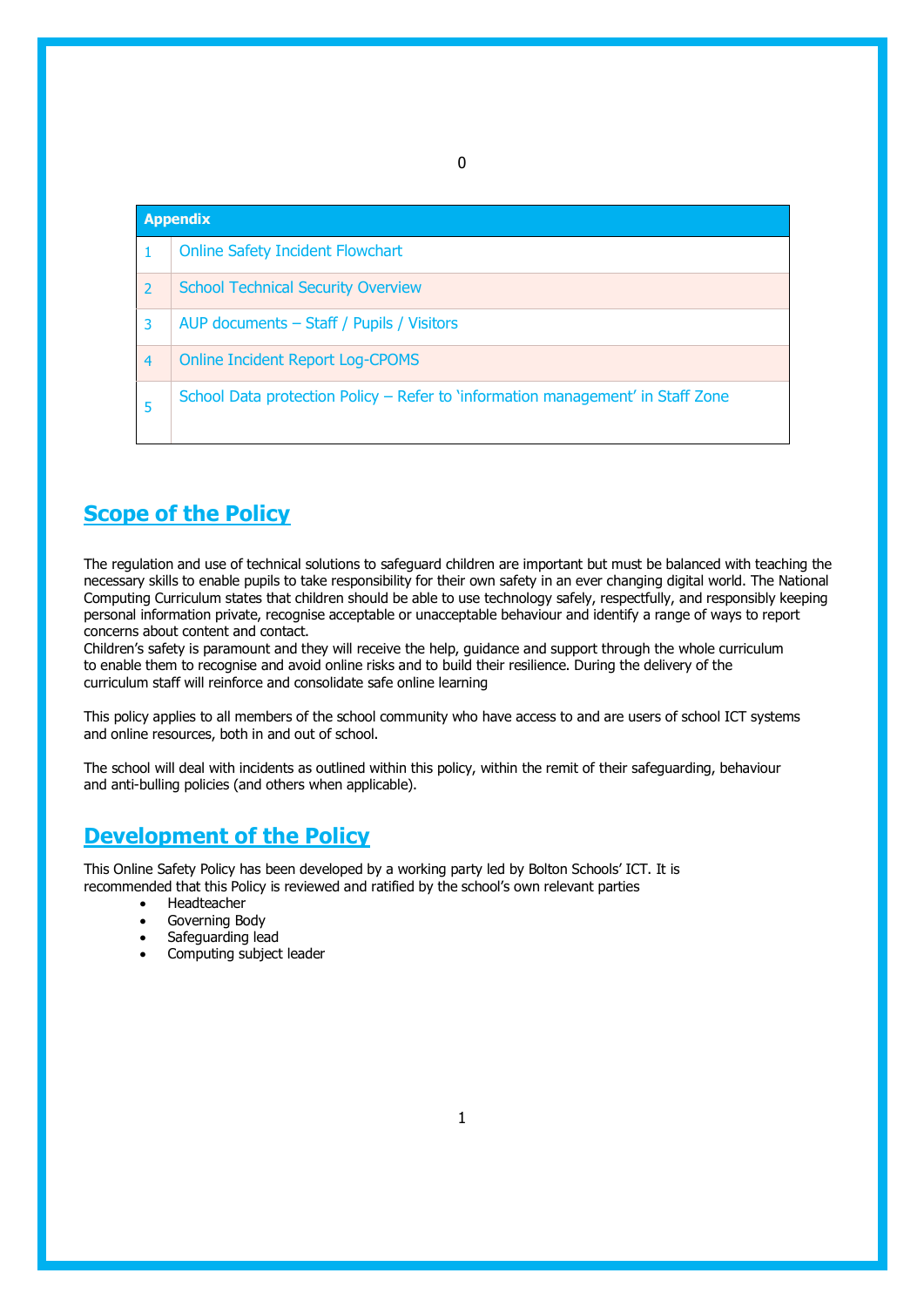|                | <b>Appendix</b>                                                                 |  |  |
|----------------|---------------------------------------------------------------------------------|--|--|
|                | <b>Online Safety Incident Flowchart</b>                                         |  |  |
| $\overline{2}$ | <b>School Technical Security Overview</b>                                       |  |  |
| 3              | AUP documents - Staff / Pupils / Visitors                                       |  |  |
| $\overline{4}$ | <b>Online Incident Report Log-CPOMS</b>                                         |  |  |
| 5              | School Data protection Policy – Refer to 'information management' in Staff Zone |  |  |

0

## **Scope of the Policy**

The regulation and use of technical solutions to safeguard children are important but must be balanced with teaching the necessary skills to enable pupils to take responsibility for their own safety in an ever changing digital world. The National Computing Curriculum states that children should be able to use technology safely, respectfully, and responsibly keeping personal information private, recognise acceptable or unacceptable behaviour and identify a range of ways to report concerns about content and contact.

Children's safety is paramount and they will receive the help, guidance and support through the whole curriculum to enable them to recognise and avoid online risks and to build their resilience. During the delivery of the curriculum staff will reinforce and consolidate safe online learning

This policy applies to all members of the school community who have access to and are users of school ICT systems and online resources, both in and out of school.

The school will deal with incidents as outlined within this policy, within the remit of their safeguarding, behaviour and anti-bulling policies (and others when applicable).

## **Development of the Policy**

This Online Safety Policy has been developed by a working party led by Bolton Schools' ICT. It is recommended that this Policy is reviewed and ratified by the school's own relevant parties

- Headteacher
- Governing Body
- Safeguarding lead
- Computing subject leader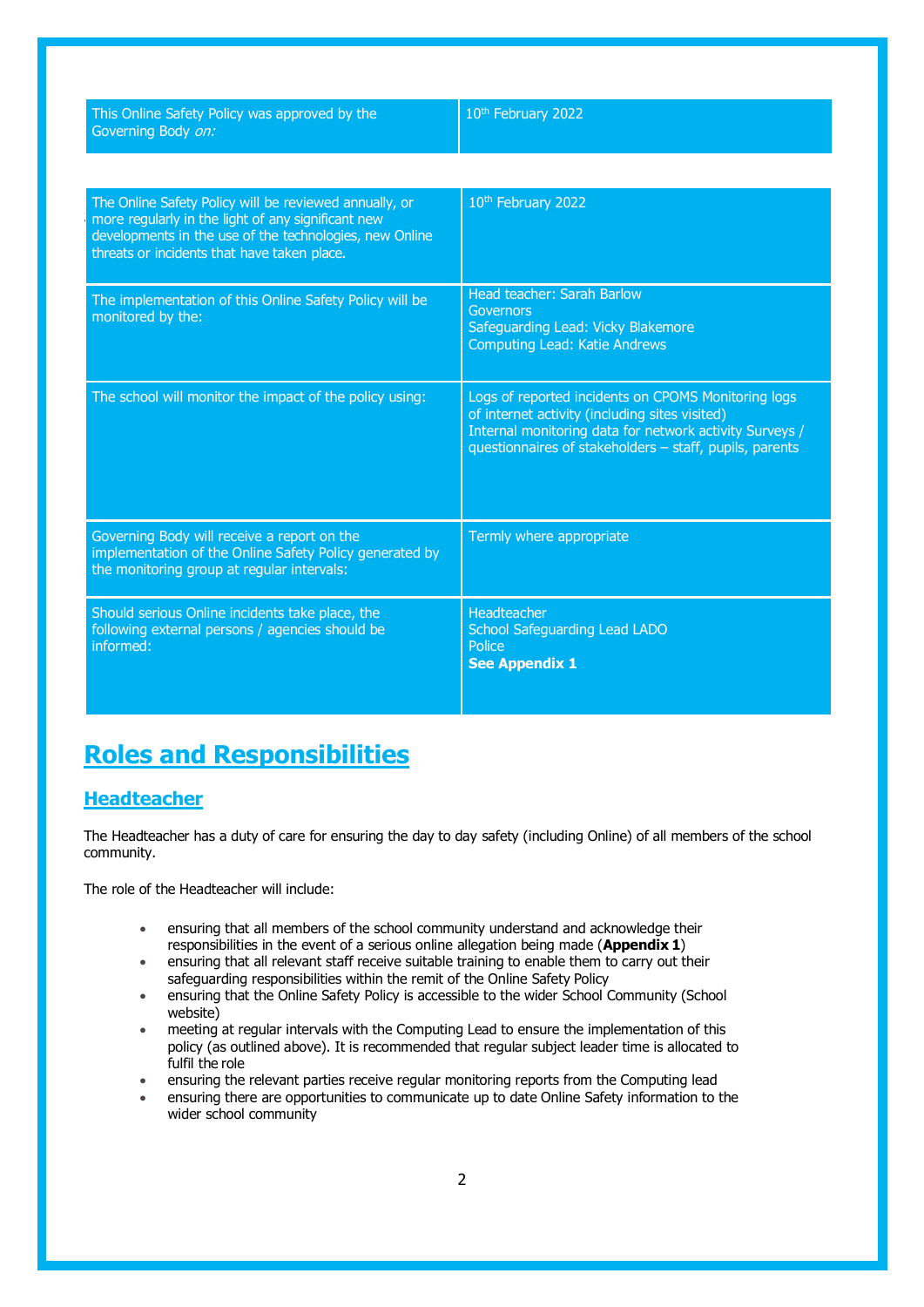| This Online Safety Policy was approved by the<br>Governing Body on:                                                                                                                                                    | 10th February 2022                                                                                                                                                                                                          |
|------------------------------------------------------------------------------------------------------------------------------------------------------------------------------------------------------------------------|-----------------------------------------------------------------------------------------------------------------------------------------------------------------------------------------------------------------------------|
|                                                                                                                                                                                                                        |                                                                                                                                                                                                                             |
| The Online Safety Policy will be reviewed annually, or<br>more regularly in the light of any significant new<br>developments in the use of the technologies, new Online<br>threats or incidents that have taken place. | 10 <sup>th</sup> February 2022                                                                                                                                                                                              |
| The implementation of this Online Safety Policy will be<br>monitored by the:                                                                                                                                           | Head teacher: Sarah Barlow<br>Governors<br>Safeguarding Lead: Vicky Blakemore<br><b>Computing Lead: Katie Andrews</b>                                                                                                       |
| The school will monitor the impact of the policy using:                                                                                                                                                                | Logs of reported incidents on CPOMS Monitoring logs<br>of internet activity (including sites visited)<br>Internal monitoring data for network activity Surveys /<br>questionnaires of stakeholders - staff, pupils, parents |
| Governing Body will receive a report on the<br>implementation of the Online Safety Policy generated by<br>the monitoring group at regular intervals:                                                                   | Termly where appropriate                                                                                                                                                                                                    |
| Should serious Online incidents take place, the<br>following external persons / agencies should be<br>informed:                                                                                                        | Headteacher<br><b>School Safeguarding Lead LADO</b><br>Police<br><b>See Appendix 1</b>                                                                                                                                      |

## **Roles and Responsibilities**

#### **Headteacher**

The Headteacher has a duty of care for ensuring the day to day safety (including Online) of all members of the school community.

The role of the Headteacher will include:

- ensuring that all members of the school community understand and acknowledge their responsibilities in the event of a serious online allegation being made (**Appendix 1**)
- ensuring that all relevant staff receive suitable training to enable them to carry out their safeguarding responsibilities within the remit of the Online Safety Policy
- ensuring that the Online Safety Policy is accessible to the wider School Community (School website)
- meeting at regular intervals with the Computing Lead to ensure the implementation of this policy (as outlined above). It is recommended that regular subject leader time is allocated to fulfil the role
- ensuring the relevant parties receive regular monitoring reports from the Computing lead
- ensuring there are opportunities to communicate up to date Online Safety information to the wider school community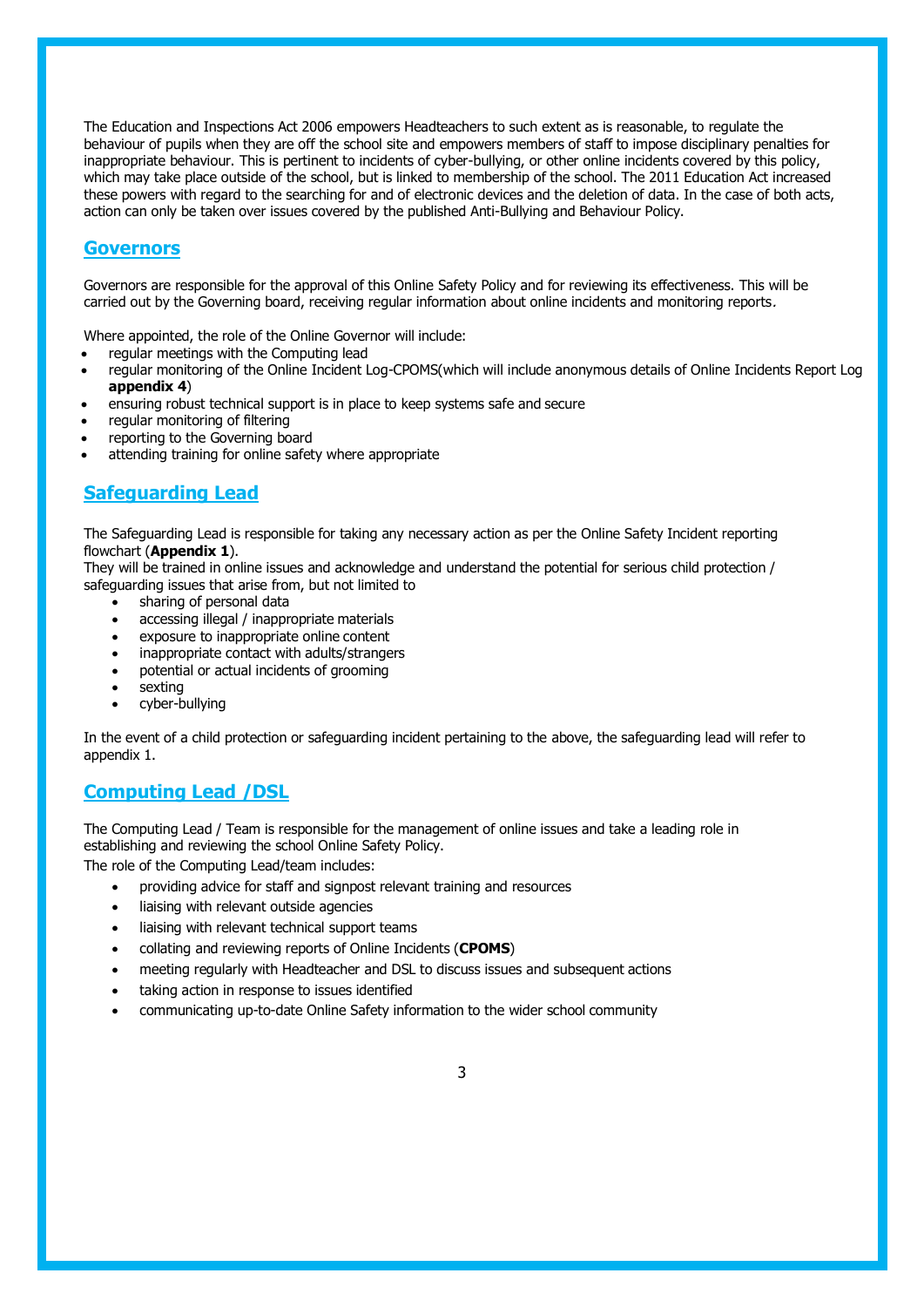The Education and Inspections Act 2006 empowers Headteachers to such extent as is reasonable, to regulate the behaviour of pupils when they are off the school site and empowers members of staff to impose disciplinary penalties for inappropriate behaviour. This is pertinent to incidents of cyber-bullying, or other online incidents covered by this policy, which may take place outside of the school, but is linked to membership of the school. The 2011 Education Act increased these powers with regard to the searching for and of electronic devices and the deletion of data. In the case of both acts, action can only be taken over issues covered by the published Anti-Bullying and Behaviour Policy.

#### **Governors**

Governors are responsible for the approval of this Online Safety Policy and for reviewing its effectiveness. This will be carried out by the Governing board, receiving regular information about online incidents and monitoring reports.

Where appointed, the role of the Online Governor will include:

- regular meetings with the Computing lead
- regular monitoring of the Online Incident Log-CPOMS(which will include anonymous details of Online Incidents Report Log **appendix 4**)
- ensuring robust technical support is in place to keep systems safe and secure
- regular monitoring of filtering
- reporting to the Governing board
- attending training for online safety where appropriate

#### **Safeguarding Lead**

The Safeguarding Lead is responsible for taking any necessary action as per the Online Safety Incident reporting flowchart (**Appendix 1**).

They will be trained in online issues and acknowledge and understand the potential for serious child protection / safeguarding issues that arise from, but not limited to

- sharing of personal data
- accessing illegal / inappropriate materials
- exposure to inappropriate online content
- inappropriate contact with adults/strangers
- potential or actual incidents of grooming
- sexting
- cyber-bullying

In the event of a child protection or safeguarding incident pertaining to the above, the safeguarding lead will refer to appendix 1.

#### **Computing Lead /DSL**

The Computing Lead / Team is responsible for the management of online issues and take a leading role in establishing and reviewing the school Online Safety Policy.

The role of the Computing Lead/team includes:

- providing advice for staff and signpost relevant training and resources
- liaising with relevant outside agencies
- liaising with relevant technical support teams
- collating and reviewing reports of Online Incidents (**CPOMS**)
- meeting regularly with Headteacher and DSL to discuss issues and subsequent actions
- taking action in response to issues identified
- communicating up-to-date Online Safety information to the wider school community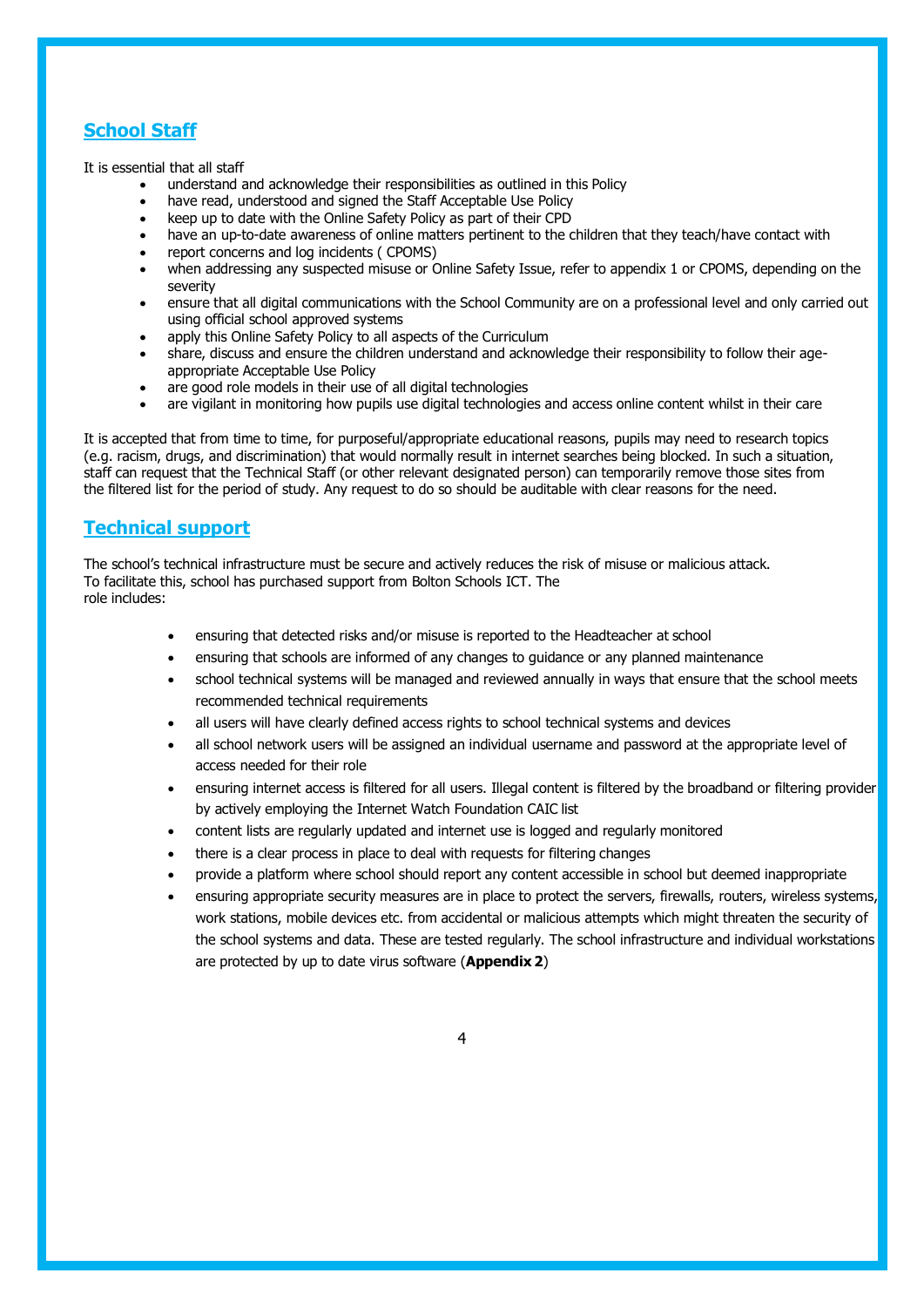## **School Staff**

It is essential that all staff

- understand and acknowledge their responsibilities as outlined in this Policy
- have read, understood and signed the Staff Acceptable Use Policy
- keep up to date with the Online Safety Policy as part of their CPD
- have an up-to-date awareness of online matters pertinent to the children that they teach/have contact with
- report concerns and log incidents ( CPOMS)
- when addressing any suspected misuse or Online Safety Issue, refer to appendix 1 or CPOMS, depending on the severity
- ensure that all digital communications with the School Community are on a professional level and only carried out using official school approved systems
- apply this Online Safety Policy to all aspects of the Curriculum
- share, discuss and ensure the children understand and acknowledge their responsibility to follow their ageappropriate Acceptable Use Policy
- are good role models in their use of all digital technologies
- are vigilant in monitoring how pupils use digital technologies and access online content whilst in their care

It is accepted that from time to time, for purposeful/appropriate educational reasons, pupils may need to research topics (e.g. racism, drugs, and discrimination) that would normally result in internet searches being blocked. In such a situation, staff can request that the Technical Staff (or other relevant designated person) can temporarily remove those sites from the filtered list for the period of study. Any request to do so should be auditable with clear reasons for the need.

## **Technical support**

The school's technical infrastructure must be secure and actively reduces the risk of misuse or malicious attack. To facilitate this, school has purchased support from Bolton Schools ICT. The role includes:

- ensuring that detected risks and/or misuse is reported to the Headteacher at school
- ensuring that schools are informed of any changes to guidance or any planned maintenance
- school technical systems will be managed and reviewed annually in ways that ensure that the school meets recommended technical requirements
- all users will have clearly defined access rights to school technical systems and devices
- all school network users will be assigned an individual username and password at the appropriate level of access needed for their role
- ensuring internet access is filtered for all users. Illegal content is filtered by the broadband or filtering provider by actively employing the Internet Watch Foundation CAIC list
- content lists are regularly updated and internet use is logged and regularly monitored
- there is a clear process in place to deal with requests for filtering changes
- provide a platform where school should report any content accessible in school but deemed inappropriate
- ensuring appropriate security measures are in place to protect the servers, firewalls, routers, wireless systems, work stations, mobile devices etc. from accidental or malicious attempts which might threaten the security of the school systems and data. These are tested regularly. The school infrastructure and individual workstations are protected by up to date virus software (**Appendix 2**)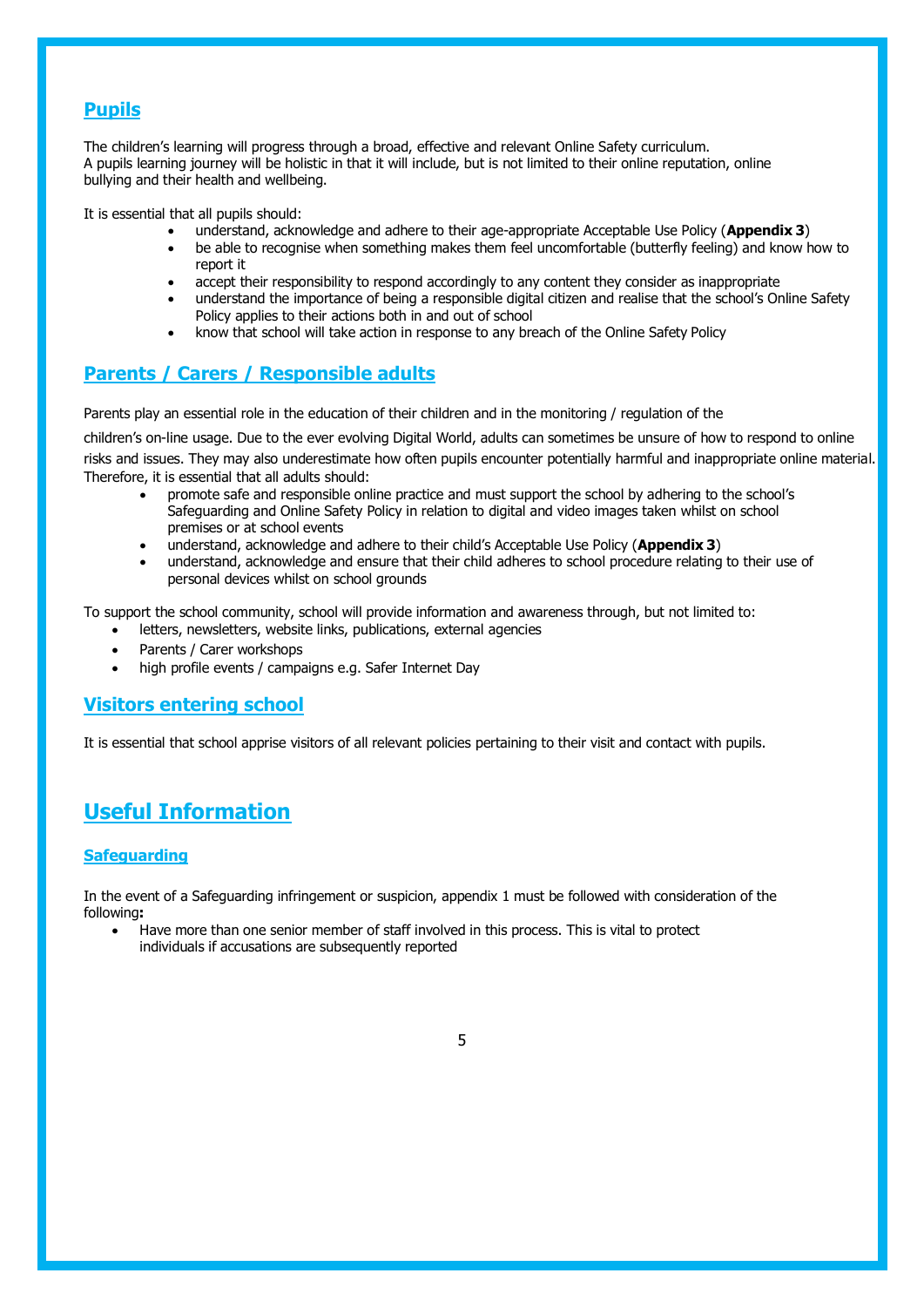## **Pupils**

The children's learning will progress through a broad, effective and relevant Online Safety curriculum. A pupils learning journey will be holistic in that it will include, but is not limited to their online reputation, online bullying and their health and wellbeing.

It is essential that all pupils should:

- understand, acknowledge and adhere to their age-appropriate Acceptable Use Policy (**Appendix 3**)
- be able to recognise when something makes them feel uncomfortable (butterfly feeling) and know how to report it
- accept their responsibility to respond accordingly to any content they consider as inappropriate
- understand the importance of being a responsible digital citizen and realise that the school's Online Safety Policy applies to their actions both in and out of school
- know that school will take action in response to any breach of the Online Safety Policy

## **Parents / Carers / Responsible adults**

Parents play an essential role in the education of their children and in the monitoring / regulation of the

children's on-line usage. Due to the ever evolving Digital World, adults can sometimes be unsure of how to respond to online risks and issues. They may also underestimate how often pupils encounter potentially harmful and inappropriate online material. Therefore, it is essential that all adults should:

- promote safe and responsible online practice and must support the school by adhering to the school's Safeguarding and Online Safety Policy in relation to digital and video images taken whilst on school premises or at school events
- understand, acknowledge and adhere to their child's Acceptable Use Policy (**Appendix 3**)
- understand, acknowledge and ensure that their child adheres to school procedure relating to their use of personal devices whilst on school grounds

To support the school community, school will provide information and awareness through, but not limited to:

- letters, newsletters, website links, publications, external agencies
- Parents / Carer workshops
- high profile events / campaigns e.g. Safer Internet Day

#### **Visitors entering school**

It is essential that school apprise visitors of all relevant policies pertaining to their visit and contact with pupils.

## **Useful Information**

#### **Safeguarding**

In the event of a Safeguarding infringement or suspicion, appendix 1 must be followed with consideration of the following**:**

• Have more than one senior member of staff involved in this process. This is vital to protect individuals if accusations are subsequently reported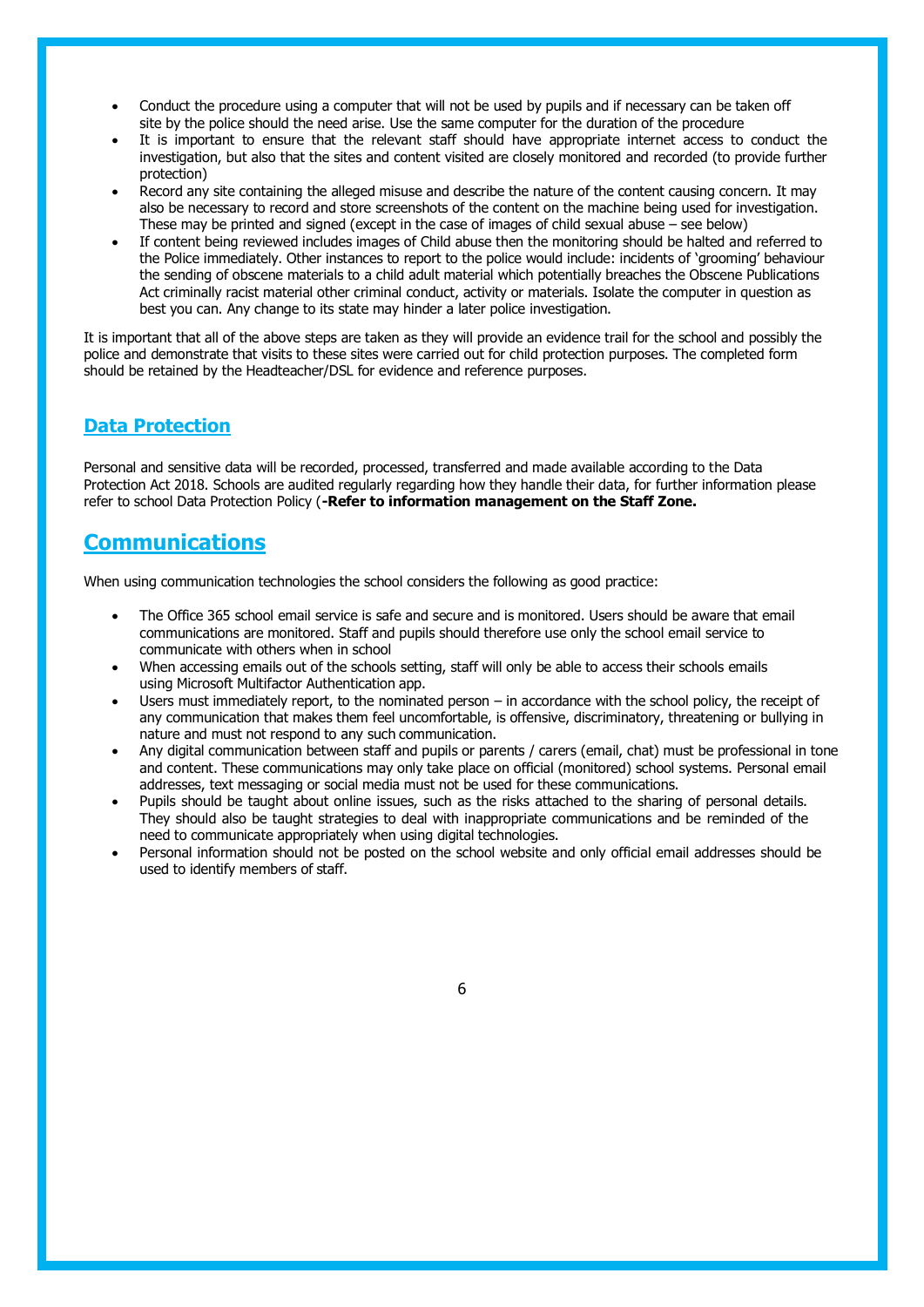- Conduct the procedure using a computer that will not be used by pupils and if necessary can be taken off site by the police should the need arise. Use the same computer for the duration of the procedure
- It is important to ensure that the relevant staff should have appropriate internet access to conduct the investigation, but also that the sites and content visited are closely monitored and recorded (to provide further protection)
- Record any site containing the alleged misuse and describe the nature of the content causing concern. It may also be necessary to record and store screenshots of the content on the machine being used for investigation. These may be printed and signed (except in the case of images of child sexual abuse – see below)
- If content being reviewed includes images of Child abuse then the monitoring should be halted and referred to the Police immediately. Other instances to report to the police would include: incidents of 'grooming' behaviour the sending of obscene materials to a child adult material which potentially breaches the Obscene Publications Act criminally racist material other criminal conduct, activity or materials. Isolate the computer in question as best you can. Any change to its state may hinder a later police investigation.

It is important that all of the above steps are taken as they will provide an evidence trail for the school and possibly the police and demonstrate that visits to these sites were carried out for child protection purposes. The completed form should be retained by the Headteacher/DSL for evidence and reference purposes.

#### **Data Protection**

Personal and sensitive data will be recorded, processed, transferred and made available according to the Data Protection Act 2018. Schools are audited regularly regarding how they handle their data, for further information please refer to school Data Protection Policy (**-Refer to information management on the Staff Zone.**

## **Communications**

When using communication technologies the school considers the following as good practice:

- The Office 365 school email service is safe and secure and is monitored. Users should be aware that email communications are monitored. Staff and pupils should therefore use only the school email service to communicate with others when in school
- When accessing emails out of the schools setting, staff will only be able to access their schools emails using Microsoft Multifactor Authentication app.
- Users must immediately report, to the nominated person in accordance with the school policy, the receipt of any communication that makes them feel uncomfortable, is offensive, discriminatory, threatening or bullying in nature and must not respond to any such communication.
- Any digital communication between staff and pupils or parents / carers (email, chat) must be professional in tone and content. These communications may only take place on official (monitored) school systems. Personal email addresses, text messaging or social media must not be used for these communications.
- Pupils should be taught about online issues, such as the risks attached to the sharing of personal details. They should also be taught strategies to deal with inappropriate communications and be reminded of the need to communicate appropriately when using digital technologies.
- Personal information should not be posted on the school website and only official email addresses should be used to identify members of staff.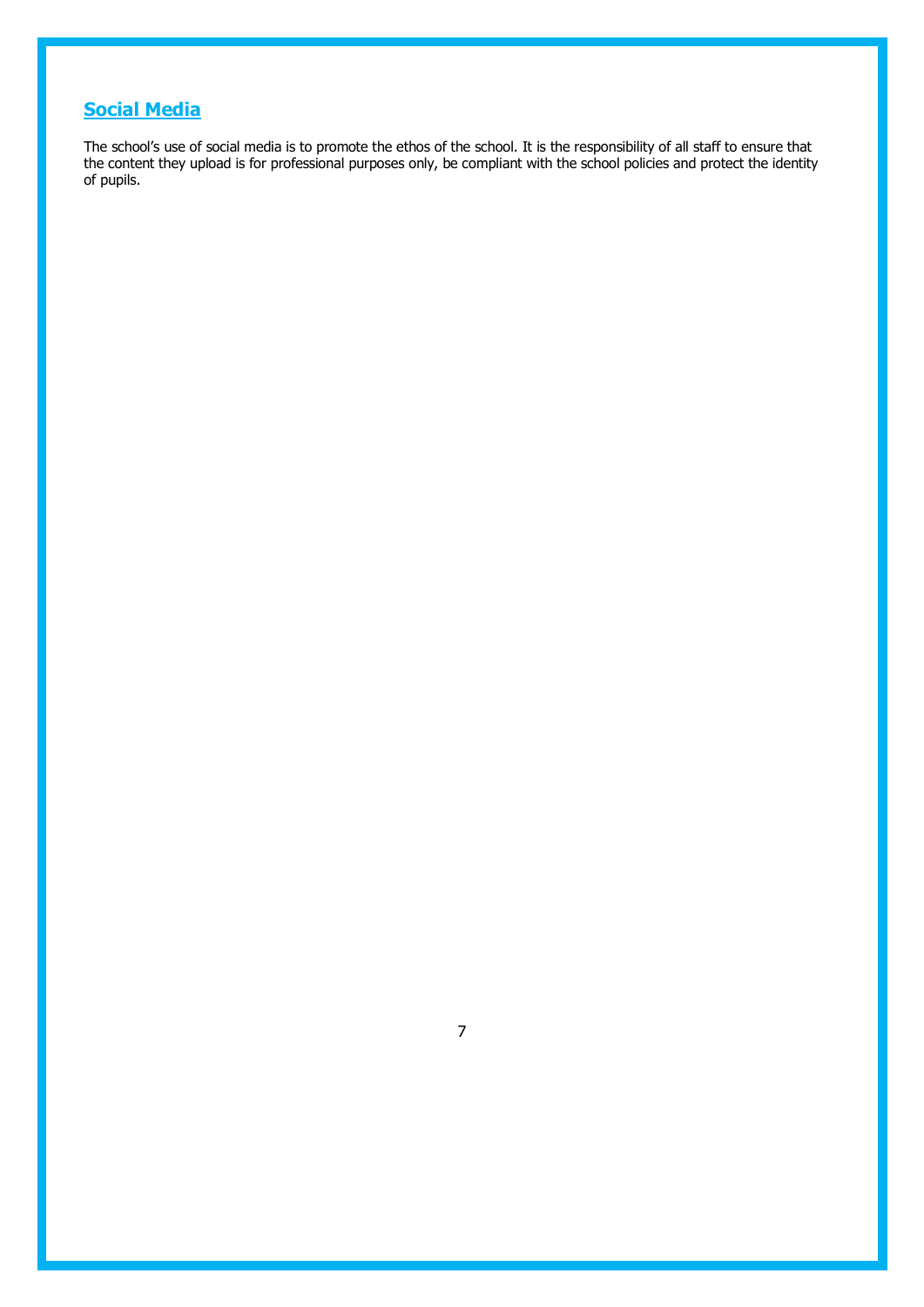## **Social Media**

The school's use of social media is to promote the ethos of the school. It is the responsibility of all staff to ensure that the content they upload is for professional purposes only, be compliant with the school policies and protect the identity of pupils.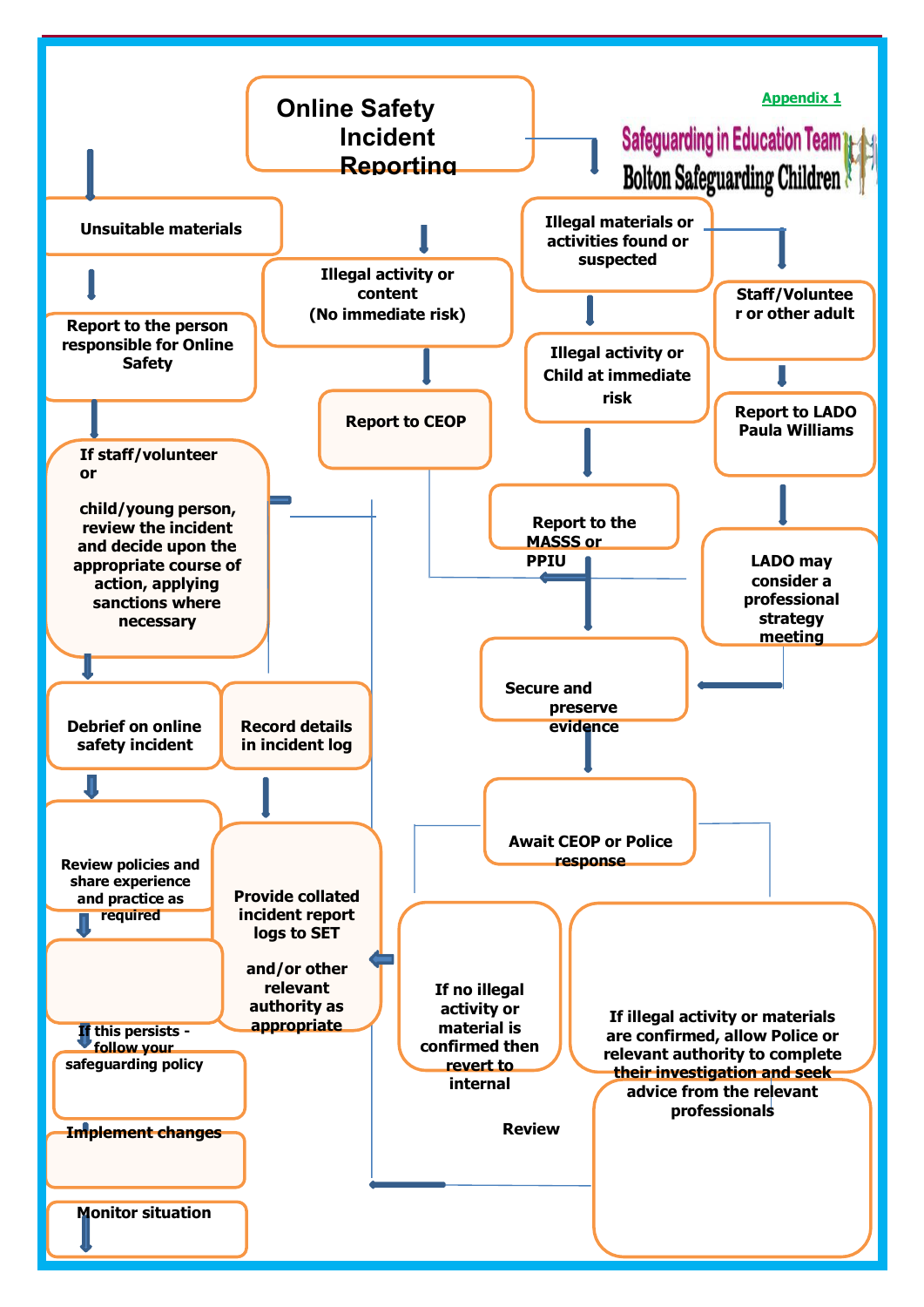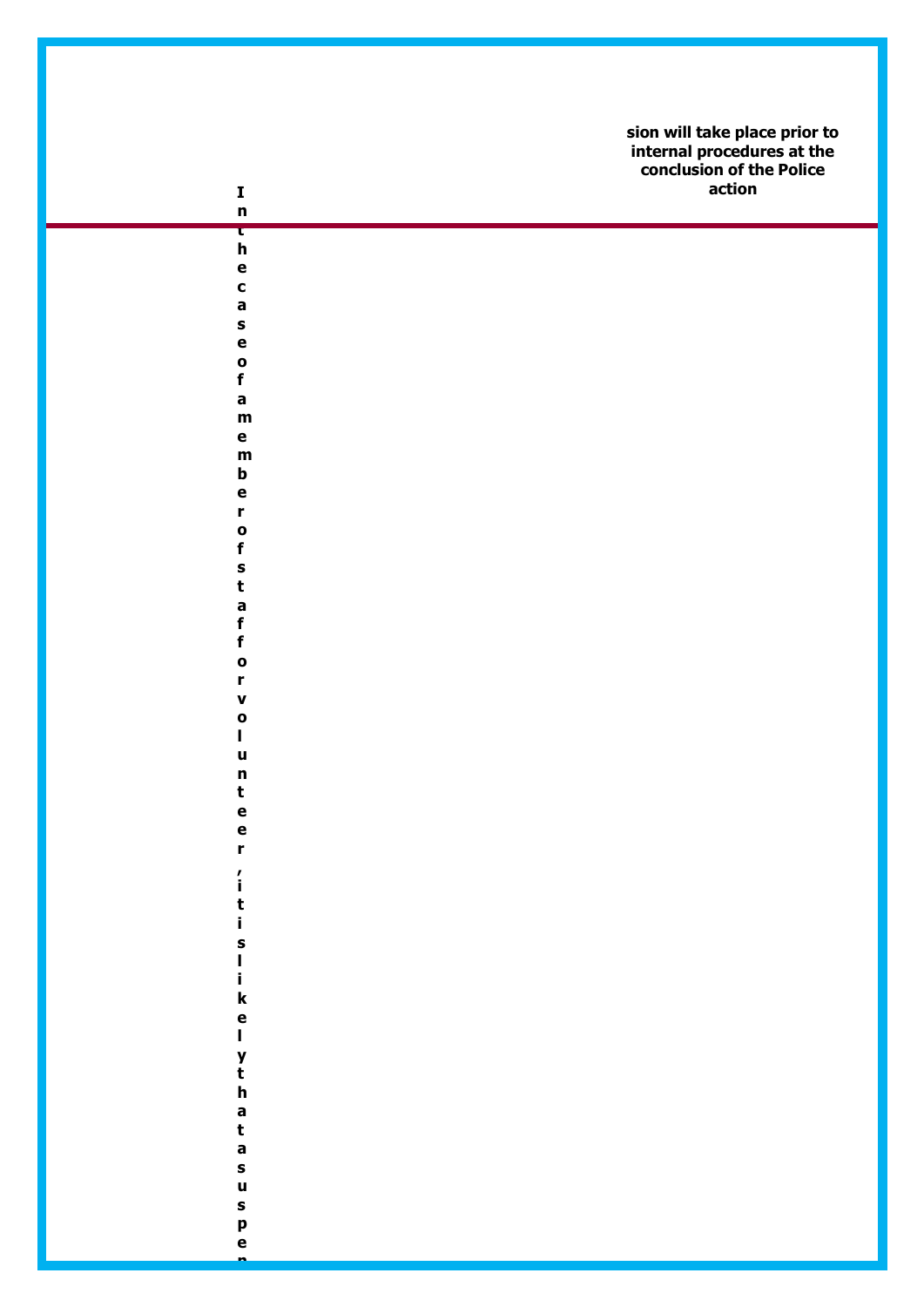| $\mathbf I$<br>$\mathbf n$      | sion will take place prior to<br>internal procedures at the<br>conclusion of the Police<br>action |
|---------------------------------|---------------------------------------------------------------------------------------------------|
| τ                               |                                                                                                   |
| $\mathbf h$<br>$\mathbf e$      |                                                                                                   |
| $\mathbf c$                     |                                                                                                   |
| a                               |                                                                                                   |
| S                               |                                                                                                   |
| e                               |                                                                                                   |
| $\bullet$<br>$\pmb{\mathsf{f}}$ |                                                                                                   |
| a                               |                                                                                                   |
| $\mathbf m$                     |                                                                                                   |
| $\mathbf e$                     |                                                                                                   |
| $\mathbf m$<br>b                |                                                                                                   |
| e                               |                                                                                                   |
| r                               |                                                                                                   |
| $\bullet$                       |                                                                                                   |
| $\mathbf f$<br>S                |                                                                                                   |
| t                               |                                                                                                   |
| a                               |                                                                                                   |
| $\mathbf f$                     |                                                                                                   |
| $\mathbf f$                     |                                                                                                   |
| $\bullet$<br>r                  |                                                                                                   |
| $\pmb{\mathsf{v}}$              |                                                                                                   |
| $\mathbf{o}$                    |                                                                                                   |
| L                               |                                                                                                   |
| u<br>n                          |                                                                                                   |
| $\mathbf t$                     |                                                                                                   |
|                                 |                                                                                                   |
| e<br>e<br>r                     |                                                                                                   |
|                                 |                                                                                                   |
| $\frac{7}{1}$                   |                                                                                                   |
| t<br>i                          |                                                                                                   |
|                                 |                                                                                                   |
| s<br> <br> <br> <br> k          |                                                                                                   |
|                                 |                                                                                                   |
|                                 |                                                                                                   |
| e<br>l                          |                                                                                                   |
|                                 |                                                                                                   |
| y<br>t<br>h                     |                                                                                                   |
|                                 |                                                                                                   |
|                                 |                                                                                                   |
| a<br>t<br>a                     |                                                                                                   |
| S                               |                                                                                                   |
|                                 |                                                                                                   |
| u<br>s                          |                                                                                                   |
| p<br>e                          |                                                                                                   |
|                                 |                                                                                                   |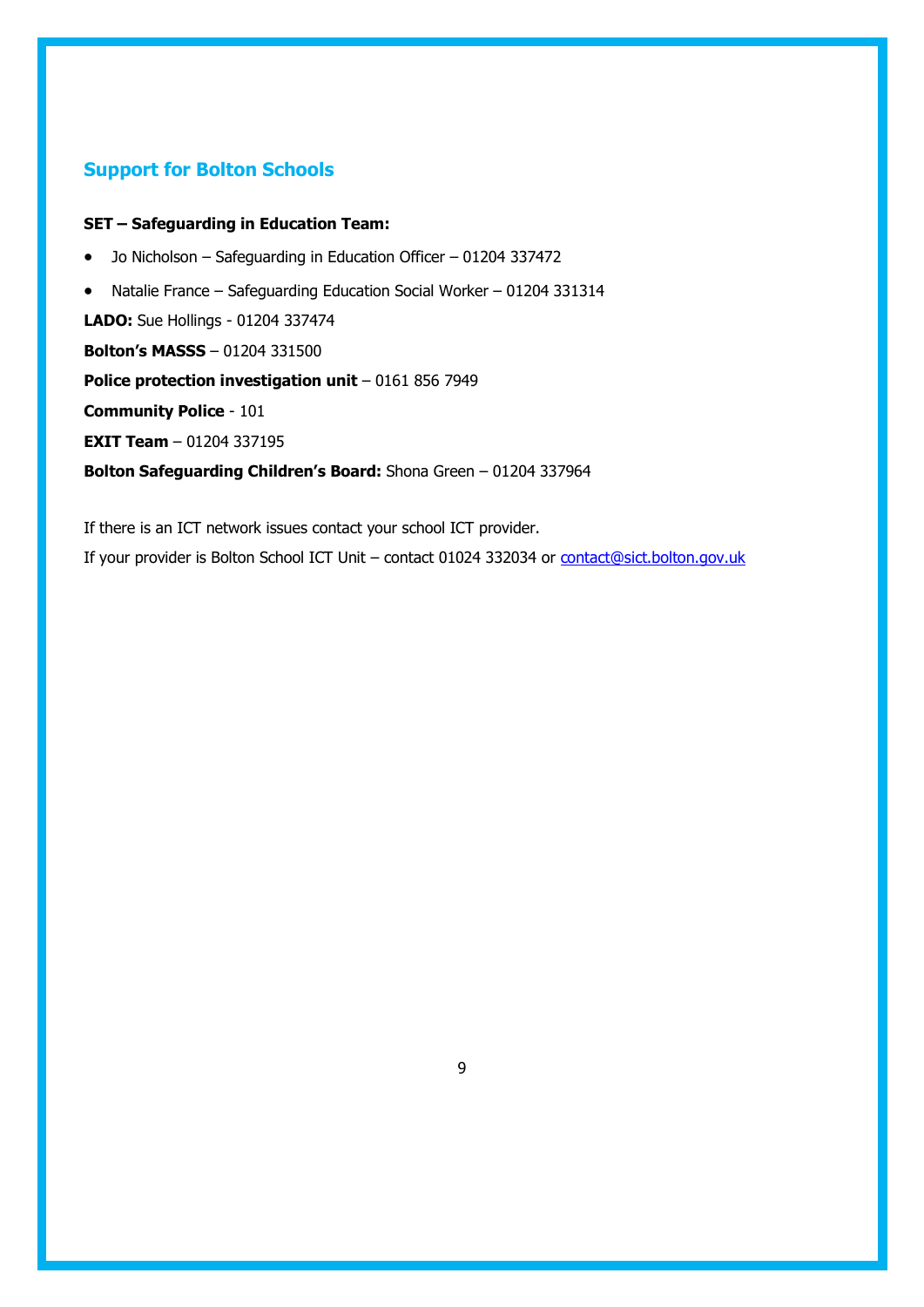## **Support for Bolton Schools**

#### **SET – Safeguarding in Education Team:**

- Jo Nicholson Safeguarding in Education Officer 01204 337472
- Natalie France Safeguarding Education Social Worker 01204 331314

**LADO:** Sue Hollings - 01204 337474

**Bolton's MASSS** – 01204 331500

**Police protection investigation unit** - 0161 856 7949

**Community Police** - 101

**EXIT Team** – 01204 337195

**Bolton Safeguarding Children's Board:** Shona Green – 01204 337964

If there is an ICT network issues contact your school ICT provider. If your provider is Bolton School ICT Unit – contact 01024 332034 or [contact@sict.bolton.gov.uk](mailto:contact@sict.bolton.gov.uk)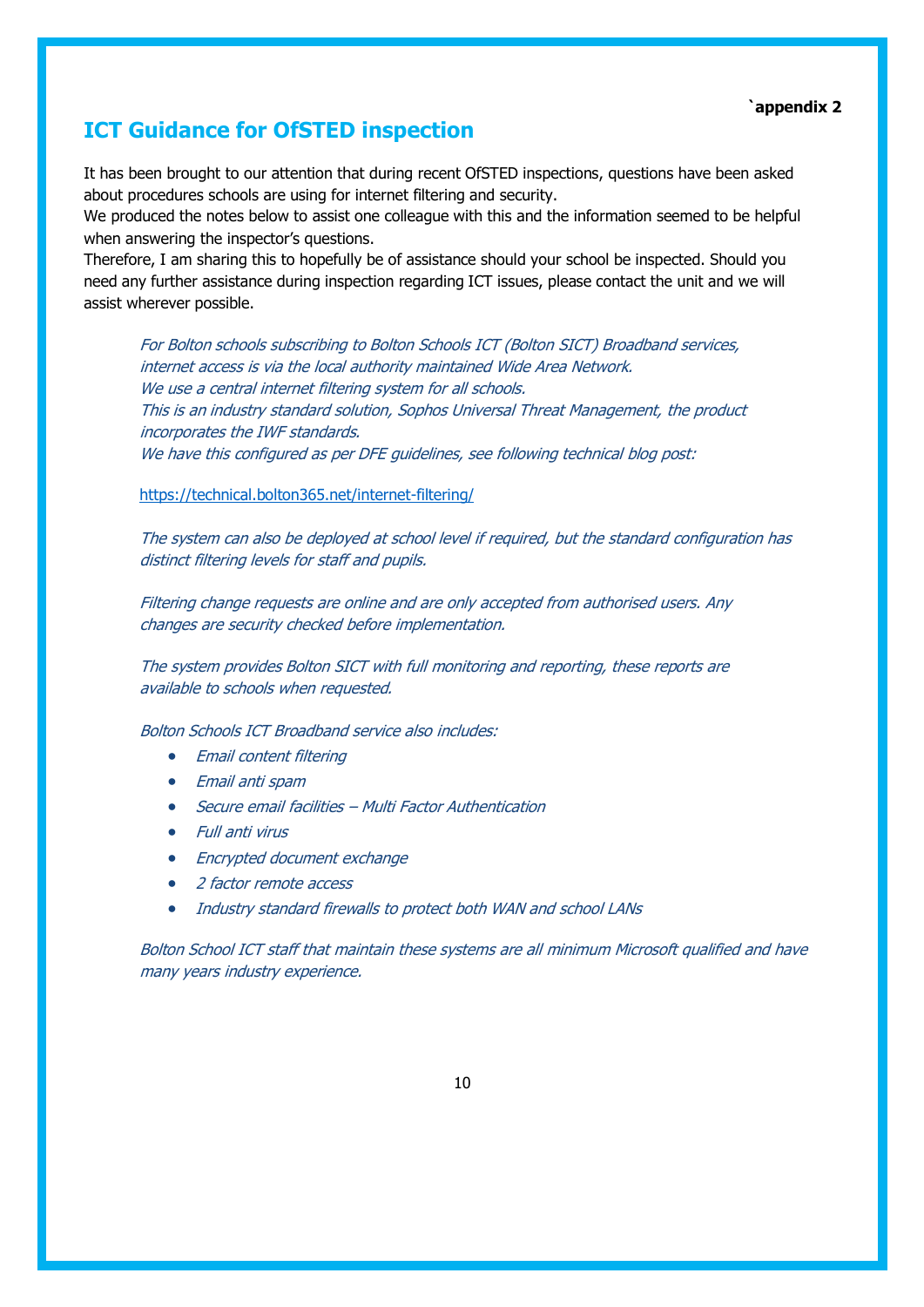#### **`appendix 2**

## **ICT Guidance for OfSTED inspection**

It has been brought to our attention that during recent OfSTED inspections, questions have been asked about procedures schools are using for internet filtering and security.

We produced the notes below to assist one colleague with this and the information seemed to be helpful when answering the inspector's questions.

Therefore, I am sharing this to hopefully be of assistance should your school be inspected. Should you need any further assistance during inspection regarding ICT issues, please contact the unit and we will assist wherever possible.

For Bolton schools subscribing to Bolton Schools ICT (Bolton SICT) Broadband services, internet access is via the local authority maintained Wide Area Network. We use a central internet filtering system for all schools. This is an industry standard solution, Sophos Universal Threat Management, the product incorporates the IWF standards. We have this configured as per DFE quidelines, see following technical blog post:

#### <https://technical.bolton365.net/internet-filtering/>

The system can also be deployed at school level if required, but the standard configuration has distinct filtering levels for staff and pupils.

Filtering change requests are online and are only accepted from authorised users. Any changes are security checked before implementation.

The system provides Bolton SICT with full monitoring and reporting, these reports are available to schools when requested.

Bolton Schools ICT Broadband service also includes:

- Email content filtering
- Email anti spam
- Secure email facilities Multi Factor Authentication
- Full anti virus
- Encrypted document exchange
- 2 factor remote access
- Industry standard firewalls to protect both WAN and school LANs

Bolton School ICT staff that maintain these systems are all minimum Microsoft qualified and have many years industry experience.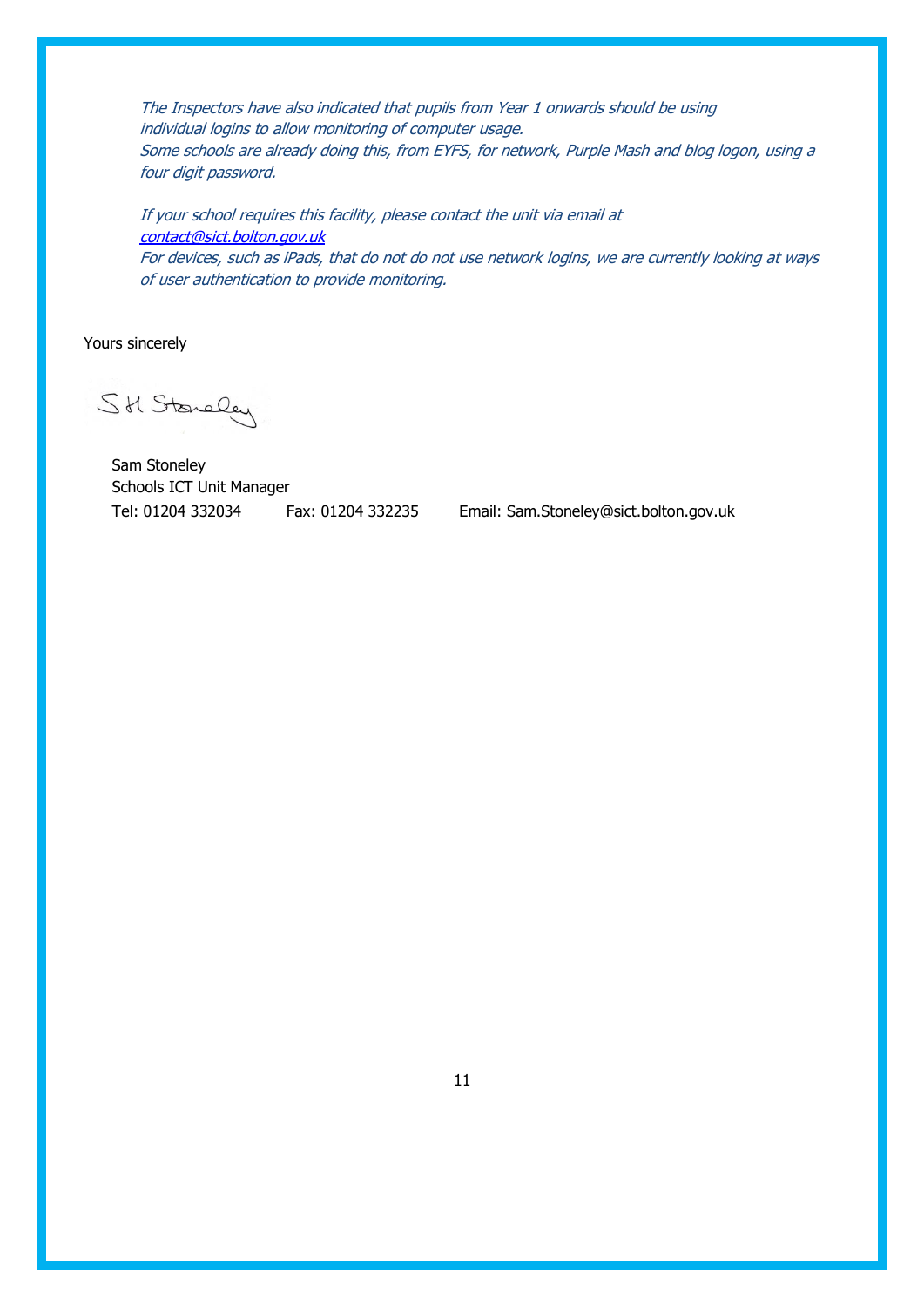The Inspectors have also indicated that pupils from Year 1 onwards should be using individual logins to allow monitoring of computer usage. Some schools are already doing this, from EYFS, for network, Purple Mash and blog logon, using a four digit password.

If your school requires this facility, please contact the unit via email at [contact@sict.bolton.gov.uk](mailto:contact@sict.bolton.gov.uk) For devices, such as iPads, that do not do not use network logins, we are currently looking at ways of user authentication to provide monitoring.

Yours sincerely

SH Stoneley

Sam Stoneley Schools ICT Unit Manager Tel: 01204 332034 Fax: 01204 332235 Email: [Sam.Stoneley@sict.bolton.gov.uk](mailto:Sam.Stoneley@sict.bolton.gov.uk)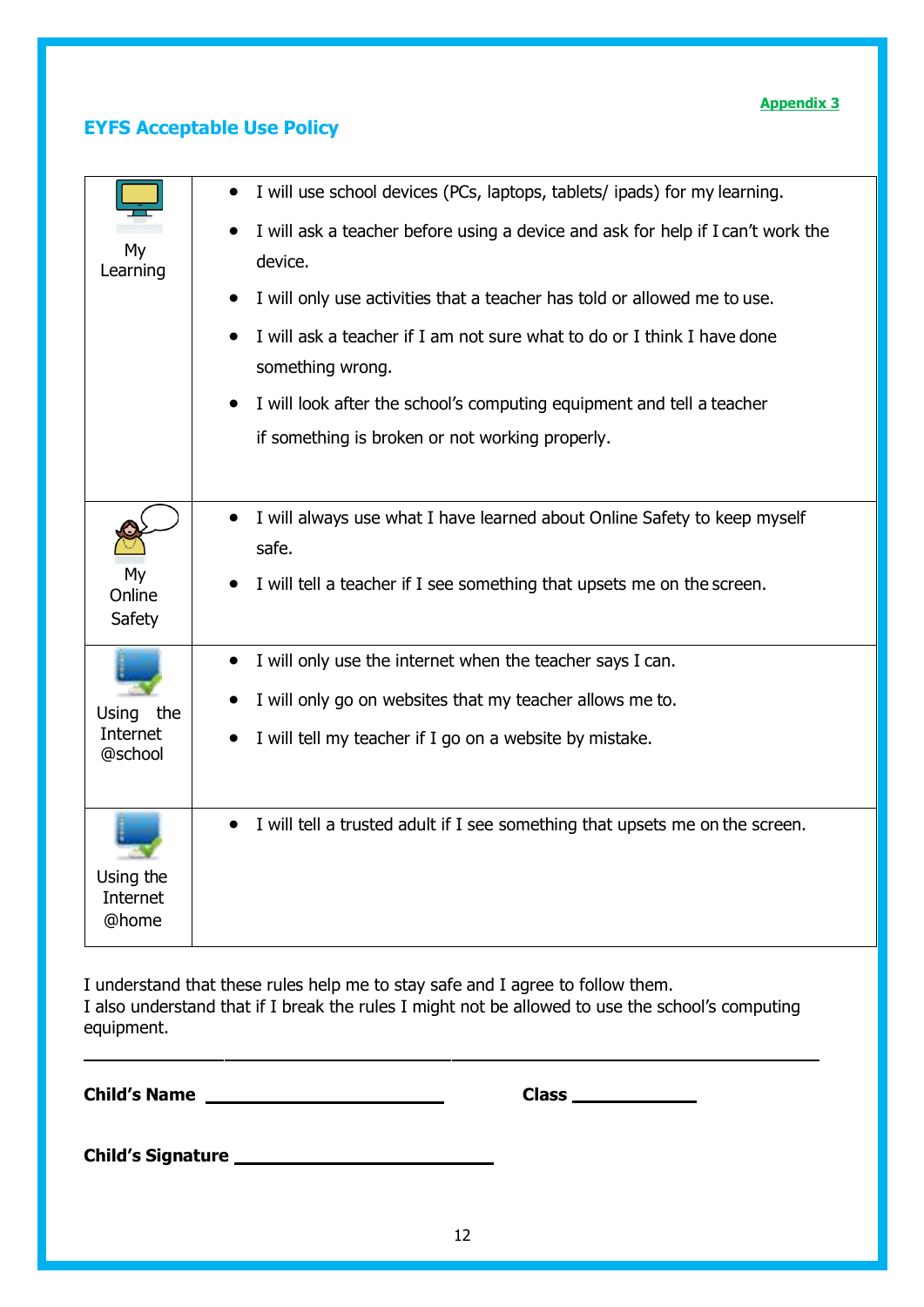#### **Appendix 3**

## **EYFS Acceptable Use Policy**

|                     | I will use school devices (PCs, laptops, tablets/ ipads) for my learning.                 |
|---------------------|-------------------------------------------------------------------------------------------|
| My                  | I will ask a teacher before using a device and ask for help if I can't work the           |
| Learning            | device.                                                                                   |
|                     | I will only use activities that a teacher has told or allowed me to use.                  |
|                     | I will ask a teacher if I am not sure what to do or I think I have done                   |
|                     | something wrong.                                                                          |
|                     | I will look after the school's computing equipment and tell a teacher                     |
|                     | if something is broken or not working properly.                                           |
|                     |                                                                                           |
|                     | I will always use what I have learned about Online Safety to keep myself<br>safe.         |
| My<br>Online        | I will tell a teacher if I see something that upsets me on the screen.                    |
| Safety              |                                                                                           |
|                     | I will only use the internet when the teacher says I can.<br>$\bullet$                    |
| the<br>Using        | I will only go on websites that my teacher allows me to.<br>$\bullet$                     |
| Internet<br>@school | I will tell my teacher if I go on a website by mistake.<br>$\bullet$                      |
|                     |                                                                                           |
|                     | I will tell a trusted adult if I see something that upsets me on the screen.<br>$\bullet$ |
|                     |                                                                                           |
| Using the           |                                                                                           |
| Internet<br>@home   |                                                                                           |
|                     |                                                                                           |

I understand that these rules help me to stay safe and I agree to follow them. I also understand that if I break the rules I might not be allowed to use the school's computing equipment.

**Child's Name** 2008 2018 2018 2020 2021 2021 2022 2021 2022 2021 2022 2021 2022 2022 2021 2022 2022 2022 2022 2022 2022 2022 2022 2022 2022 2022 2022 2022 2022 2022 2022 2022 2022 2023 2022 2023 2022 2023 2023 2023 2023 20

**Child's Signature**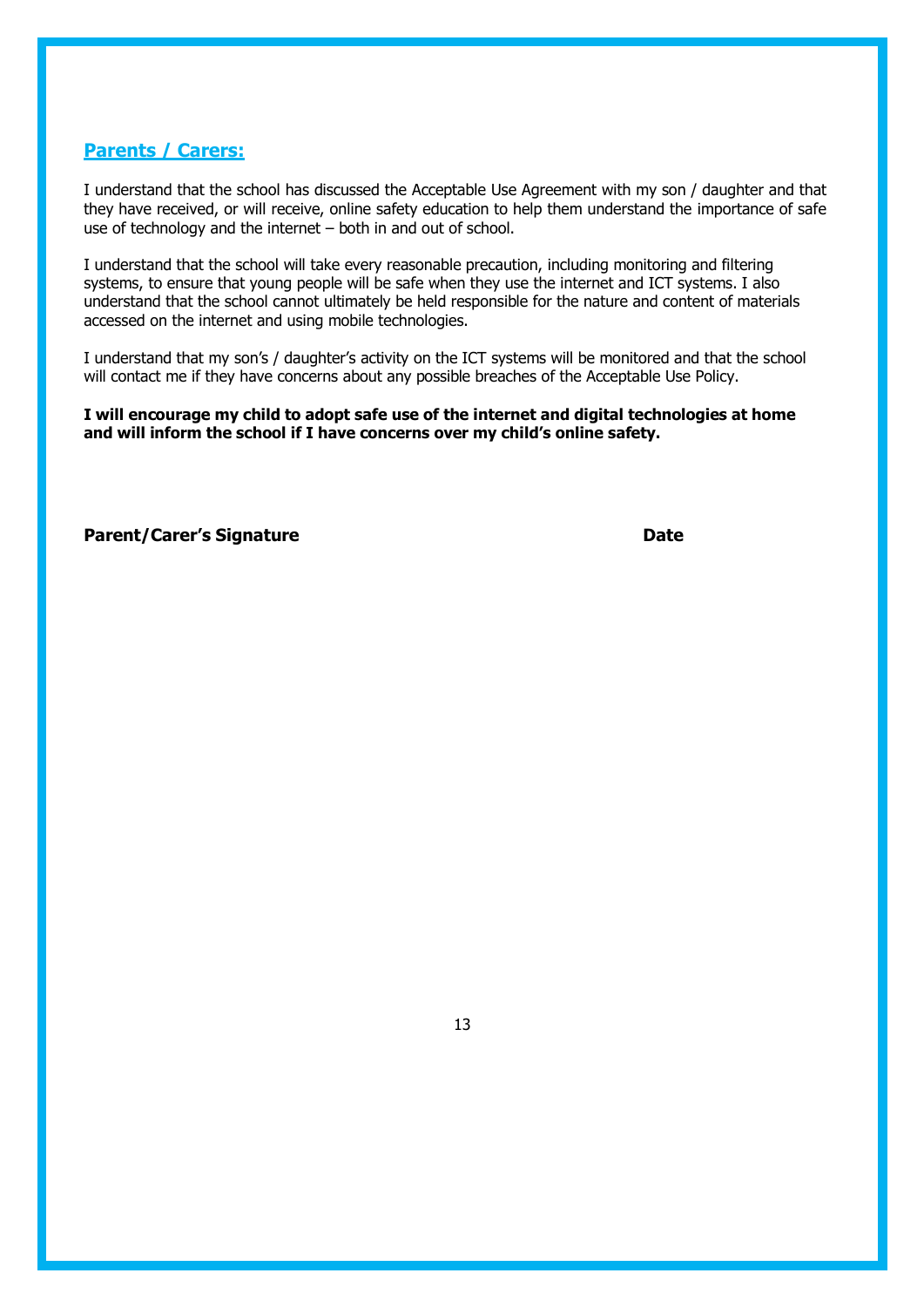#### **Parents / Carers:**

I understand that the school has discussed the Acceptable Use Agreement with my son / daughter and that they have received, or will receive, online safety education to help them understand the importance of safe use of technology and the internet – both in and out of school.

I understand that the school will take every reasonable precaution, including monitoring and filtering systems, to ensure that young people will be safe when they use the internet and ICT systems. I also understand that the school cannot ultimately be held responsible for the nature and content of materials accessed on the internet and using mobile technologies.

I understand that my son's / daughter's activity on the ICT systems will be monitored and that the school will contact me if they have concerns about any possible breaches of the Acceptable Use Policy.

**I will encourage my child to adopt safe use of the internet and digital technologies at home and will inform the school if I have concerns over my child's online safety.**

#### **Parent/Carer's Signature Date**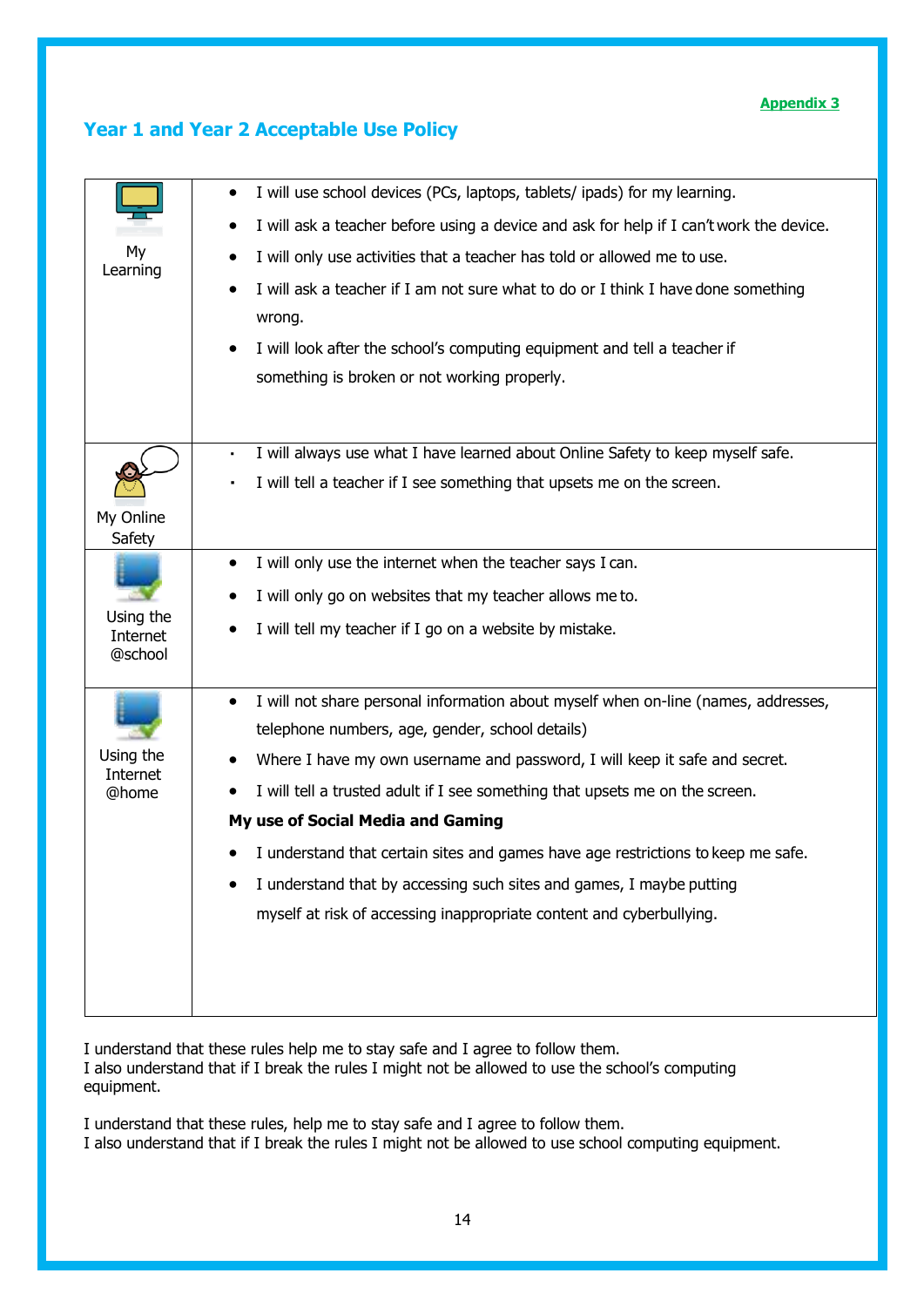#### **Appendix 3**

|                       | I will use school devices (PCs, laptops, tablets/ ipads) for my learning.<br>٠                       |
|-----------------------|------------------------------------------------------------------------------------------------------|
|                       | I will ask a teacher before using a device and ask for help if I can't work the device.<br>$\bullet$ |
| My<br>Learning        | I will only use activities that a teacher has told or allowed me to use.                             |
|                       | I will ask a teacher if I am not sure what to do or I think I have done something                    |
|                       | wrong.                                                                                               |
|                       | I will look after the school's computing equipment and tell a teacher if<br>$\bullet$                |
|                       | something is broken or not working properly.                                                         |
|                       |                                                                                                      |
|                       | I will always use what I have learned about Online Safety to keep myself safe.<br>$\blacksquare$     |
|                       | I will tell a teacher if I see something that upsets me on the screen.                               |
| My Online             |                                                                                                      |
| Safety                |                                                                                                      |
|                       | I will only use the internet when the teacher says I can.<br>$\bullet$                               |
| Using the             | I will only go on websites that my teacher allows me to.                                             |
| Internet              | I will tell my teacher if I go on a website by mistake.<br>$\bullet$                                 |
| @school               |                                                                                                      |
|                       | I will not share personal information about myself when on-line (names, addresses,<br>$\bullet$      |
|                       | telephone numbers, age, gender, school details)                                                      |
| Using the<br>Internet | Where I have my own username and password, I will keep it safe and secret.                           |
| @home                 | I will tell a trusted adult if I see something that upsets me on the screen.                         |
|                       | My use of Social Media and Gaming                                                                    |
|                       | I understand that certain sites and games have age restrictions to keep me safe.                     |
|                       | I understand that by accessing such sites and games, I maybe putting                                 |
|                       | myself at risk of accessing inappropriate content and cyberbullying.                                 |
|                       |                                                                                                      |
|                       |                                                                                                      |
|                       |                                                                                                      |
|                       |                                                                                                      |

## **Year 1 and Year 2 Acceptable Use Policy**

I understand that these rules help me to stay safe and I agree to follow them. I also understand that if I break the rules I might not be allowed to use the school's computing equipment.

I understand that these rules, help me to stay safe and I agree to follow them. I also understand that if I break the rules I might not be allowed to use school computing equipment.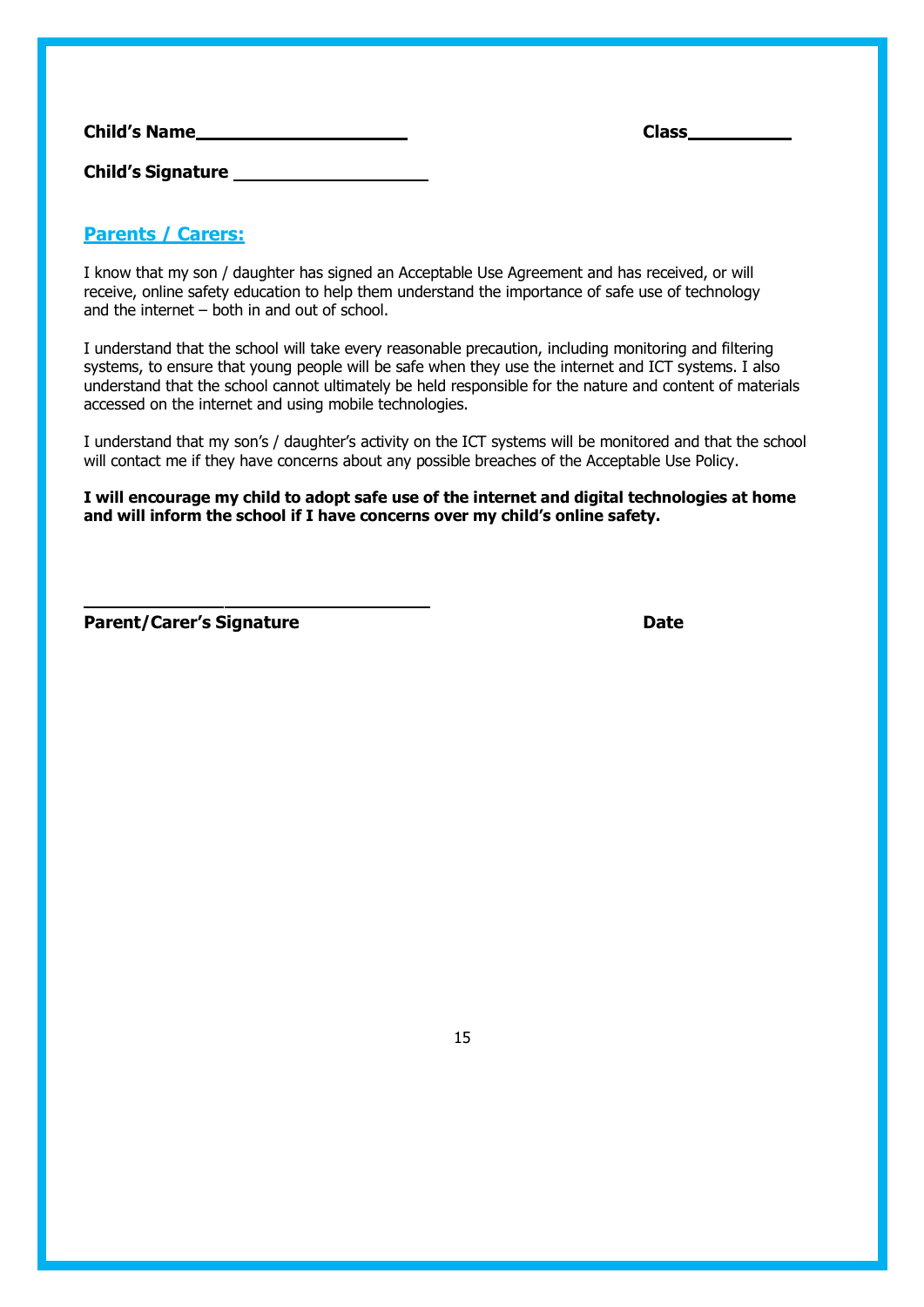| <b>Child's Name</b>      | <b>Class</b> |
|--------------------------|--------------|
| <b>Child's Signature</b> |              |

## **Parents / Carers:**

I know that my son / daughter has signed an Acceptable Use Agreement and has received, or will receive, online safety education to help them understand the importance of safe use of technology and the internet – both in and out of school.

I understand that the school will take every reasonable precaution, including monitoring and filtering systems, to ensure that young people will be safe when they use the internet and ICT systems. I also understand that the school cannot ultimately be held responsible for the nature and content of materials accessed on the internet and using mobile technologies.

I understand that my son's / daughter's activity on the ICT systems will be monitored and that the school will contact me if they have concerns about any possible breaches of the Acceptable Use Policy.

**I will encourage my child to adopt safe use of the internet and digital technologies at home and will inform the school if I have concerns over my child's online safety.**

**Parent/Carer's Signature Date**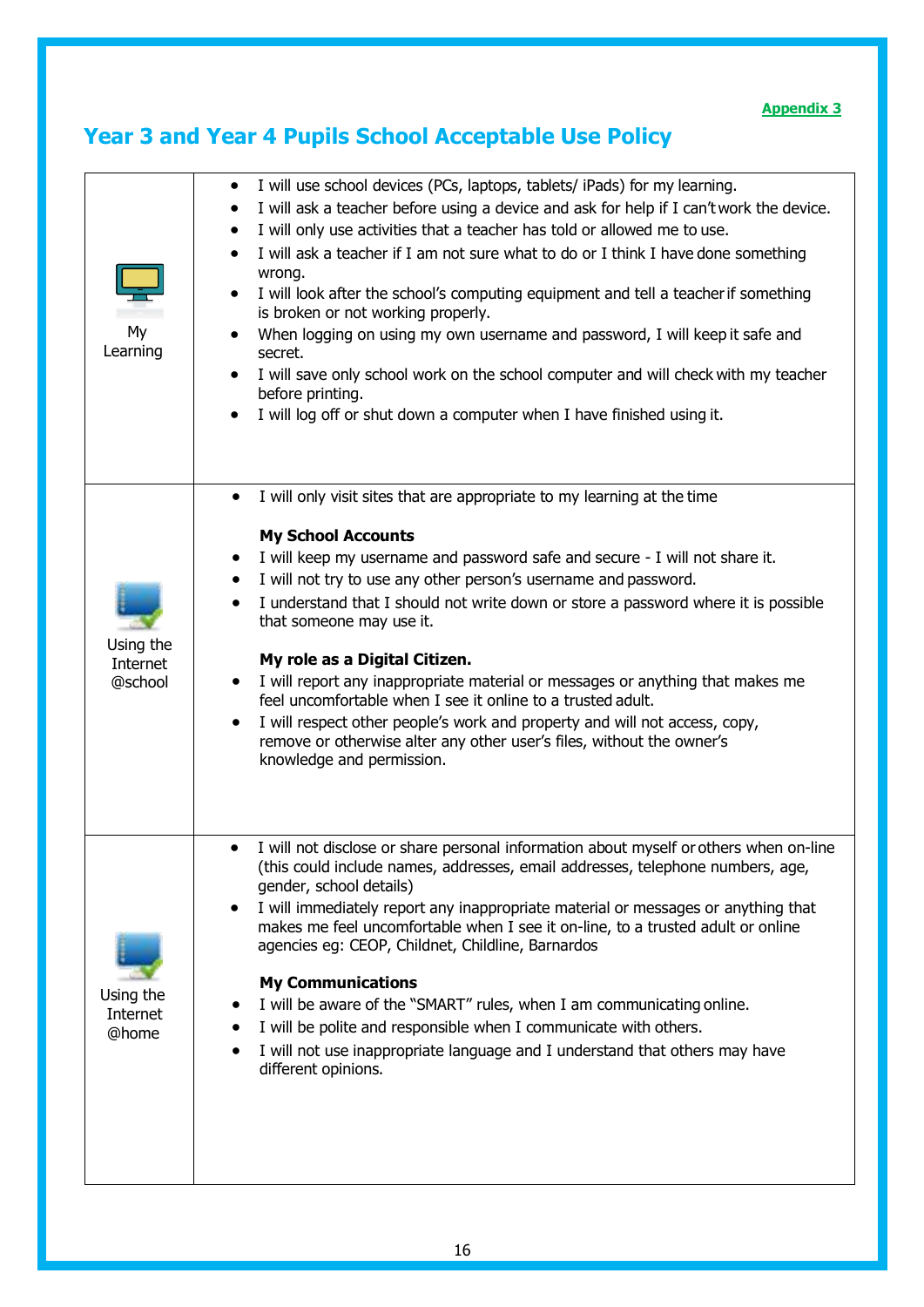# **Year 3 and Year 4 Pupils School Acceptable Use Policy**

| My<br>Learning                   | I will use school devices (PCs, laptops, tablets/ iPads) for my learning.<br>٠<br>I will ask a teacher before using a device and ask for help if I can't work the device.<br>I will only use activities that a teacher has told or allowed me to use.<br>$\bullet$<br>I will ask a teacher if I am not sure what to do or I think I have done something<br>wrong.<br>I will look after the school's computing equipment and tell a teacher if something<br>$\bullet$<br>is broken or not working properly.<br>When logging on using my own username and password, I will keep it safe and<br>secret.<br>I will save only school work on the school computer and will check with my teacher<br>٠<br>before printing.<br>I will log off or shut down a computer when I have finished using it. |
|----------------------------------|----------------------------------------------------------------------------------------------------------------------------------------------------------------------------------------------------------------------------------------------------------------------------------------------------------------------------------------------------------------------------------------------------------------------------------------------------------------------------------------------------------------------------------------------------------------------------------------------------------------------------------------------------------------------------------------------------------------------------------------------------------------------------------------------|
| Using the<br>Internet<br>@school | I will only visit sites that are appropriate to my learning at the time<br><b>My School Accounts</b><br>I will keep my username and password safe and secure - I will not share it.<br>I will not try to use any other person's username and password.<br>I understand that I should not write down or store a password where it is possible<br>$\bullet$<br>that someone may use it.<br>My role as a Digital Citizen.<br>I will report any inappropriate material or messages or anything that makes me<br>feel uncomfortable when I see it online to a trusted adult.<br>I will respect other people's work and property and will not access, copy,<br>remove or otherwise alter any other user's files, without the owner's<br>knowledge and permission.                                  |
| Using the<br>Internet<br>@home   | I will not disclose or share personal information about myself or others when on-line<br>(this could include names, addresses, email addresses, telephone numbers, age,<br>gender, school details)<br>I will immediately report any inappropriate material or messages or anything that<br>٠<br>makes me feel uncomfortable when I see it on-line, to a trusted adult or online<br>agencies eg: CEOP, Childnet, Childline, Barnardos<br><b>My Communications</b><br>I will be aware of the "SMART" rules, when I am communicating online.<br>I will be polite and responsible when I communicate with others.<br>I will not use inappropriate language and I understand that others may have<br>different opinions.                                                                          |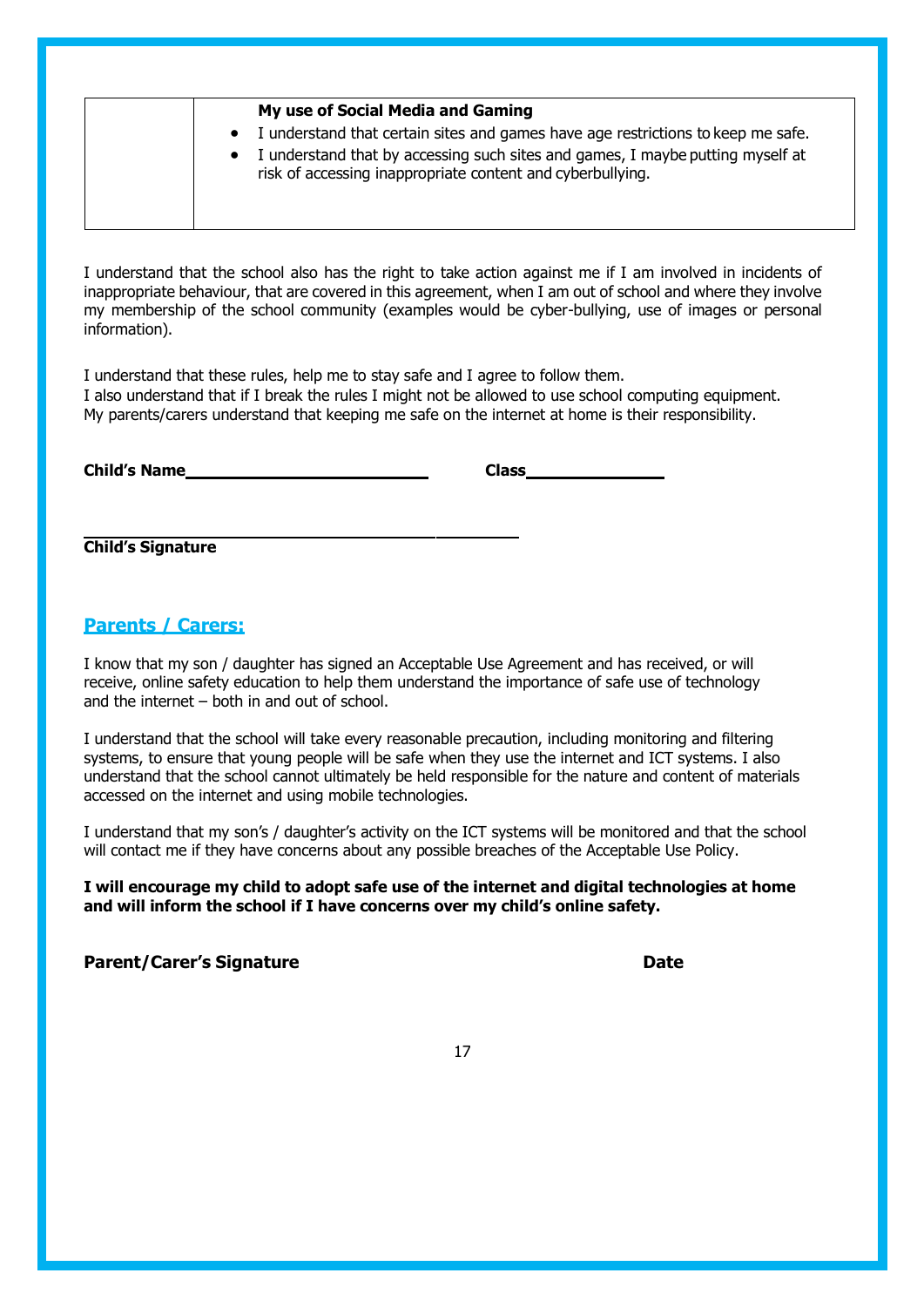| My use of Social Media and Gaming                                                                                                                                                                                                    |
|--------------------------------------------------------------------------------------------------------------------------------------------------------------------------------------------------------------------------------------|
| • I understand that certain sites and games have age restrictions to keep me safe.<br>• I understand that by accessing such sites and games, I maybe putting myself at<br>risk of accessing inappropriate content and cyberbullying. |
|                                                                                                                                                                                                                                      |

I understand that the school also has the right to take action against me if I am involved in incidents of inappropriate behaviour, that are covered in this agreement, when I am out of school and where they involve my membership of the school community (examples would be cyber-bullying, use of images or personal information).

I understand that these rules, help me to stay safe and I agree to follow them. I also understand that if I break the rules I might not be allowed to use school computing equipment. My parents/carers understand that keeping me safe on the internet at home is their responsibility.

| <b>Child's Name</b> | Class |
|---------------------|-------|
|---------------------|-------|

**Child's Signature**

#### **Parents / Carers:**

I know that my son / daughter has signed an Acceptable Use Agreement and has received, or will receive, online safety education to help them understand the importance of safe use of technology and the internet – both in and out of school.

I understand that the school will take every reasonable precaution, including monitoring and filtering systems, to ensure that young people will be safe when they use the internet and ICT systems. I also understand that the school cannot ultimately be held responsible for the nature and content of materials accessed on the internet and using mobile technologies.

I understand that my son's / daughter's activity on the ICT systems will be monitored and that the school will contact me if they have concerns about any possible breaches of the Acceptable Use Policy.

**I will encourage my child to adopt safe use of the internet and digital technologies at home and will inform the school if I have concerns over my child's online safety.**

**Parent/Carer's Signature Date**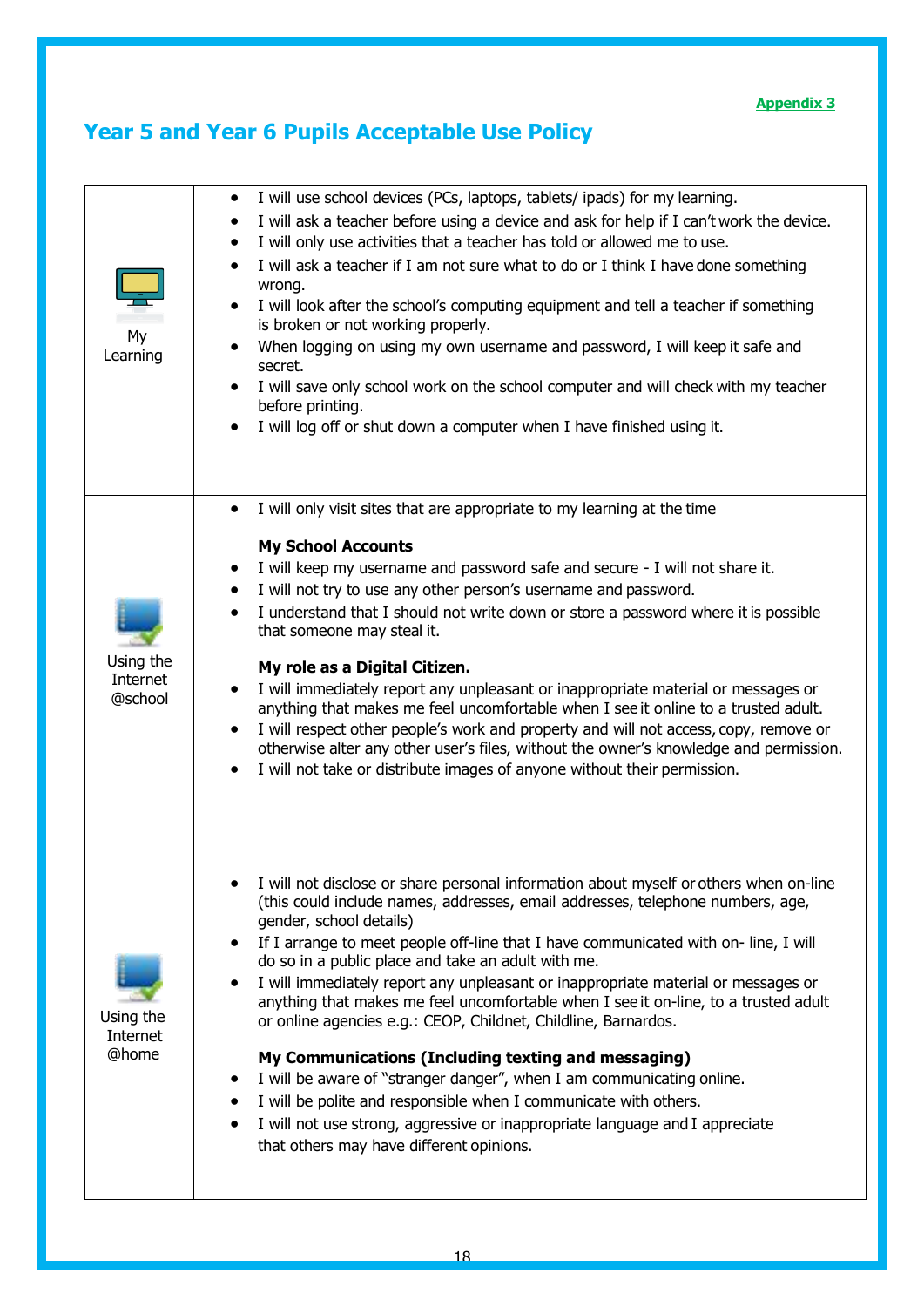# **Year 5 and Year 6 Pupils Acceptable Use Policy**

| My<br>Learning                   | I will use school devices (PCs, laptops, tablets/ ipads) for my learning.<br>٠<br>I will ask a teacher before using a device and ask for help if I can't work the device.<br>٠<br>I will only use activities that a teacher has told or allowed me to use.<br>$\bullet$<br>I will ask a teacher if I am not sure what to do or I think I have done something<br>$\bullet$<br>wrong.<br>I will look after the school's computing equipment and tell a teacher if something<br>$\bullet$<br>is broken or not working properly.<br>When logging on using my own username and password, I will keep it safe and<br>secret.<br>I will save only school work on the school computer and will check with my teacher<br>٠<br>before printing.<br>I will log off or shut down a computer when I have finished using it.<br>$\bullet$                                                                                                                                 |
|----------------------------------|-------------------------------------------------------------------------------------------------------------------------------------------------------------------------------------------------------------------------------------------------------------------------------------------------------------------------------------------------------------------------------------------------------------------------------------------------------------------------------------------------------------------------------------------------------------------------------------------------------------------------------------------------------------------------------------------------------------------------------------------------------------------------------------------------------------------------------------------------------------------------------------------------------------------------------------------------------------|
| Using the<br>Internet<br>@school | I will only visit sites that are appropriate to my learning at the time<br>$\bullet$<br><b>My School Accounts</b><br>I will keep my username and password safe and secure - I will not share it.<br>٠<br>I will not try to use any other person's username and password.<br>$\bullet$<br>I understand that I should not write down or store a password where it is possible<br>$\bullet$<br>that someone may steal it.<br>My role as a Digital Citizen.<br>I will immediately report any unpleasant or inappropriate material or messages or<br>٠<br>anything that makes me feel uncomfortable when I see it online to a trusted adult.<br>I will respect other people's work and property and will not access, copy, remove or<br>$\bullet$<br>otherwise alter any other user's files, without the owner's knowledge and permission.<br>I will not take or distribute images of anyone without their permission.<br>٠                                      |
| Using the<br>Internet<br>@home   | I will not disclose or share personal information about myself or others when on-line<br>(this could include names, addresses, email addresses, telephone numbers, age,<br>gender, school details)<br>If I arrange to meet people off-line that I have communicated with on-line, I will<br>$\bullet$<br>do so in a public place and take an adult with me.<br>I will immediately report any unpleasant or inappropriate material or messages or<br>$\bullet$<br>anything that makes me feel uncomfortable when I see it on-line, to a trusted adult<br>or online agencies e.g.: CEOP, Childnet, Childline, Barnardos.<br>My Communications (Including texting and messaging)<br>I will be aware of "stranger danger", when I am communicating online.<br>I will be polite and responsible when I communicate with others.<br>I will not use strong, aggressive or inappropriate language and I appreciate<br>٠<br>that others may have different opinions. |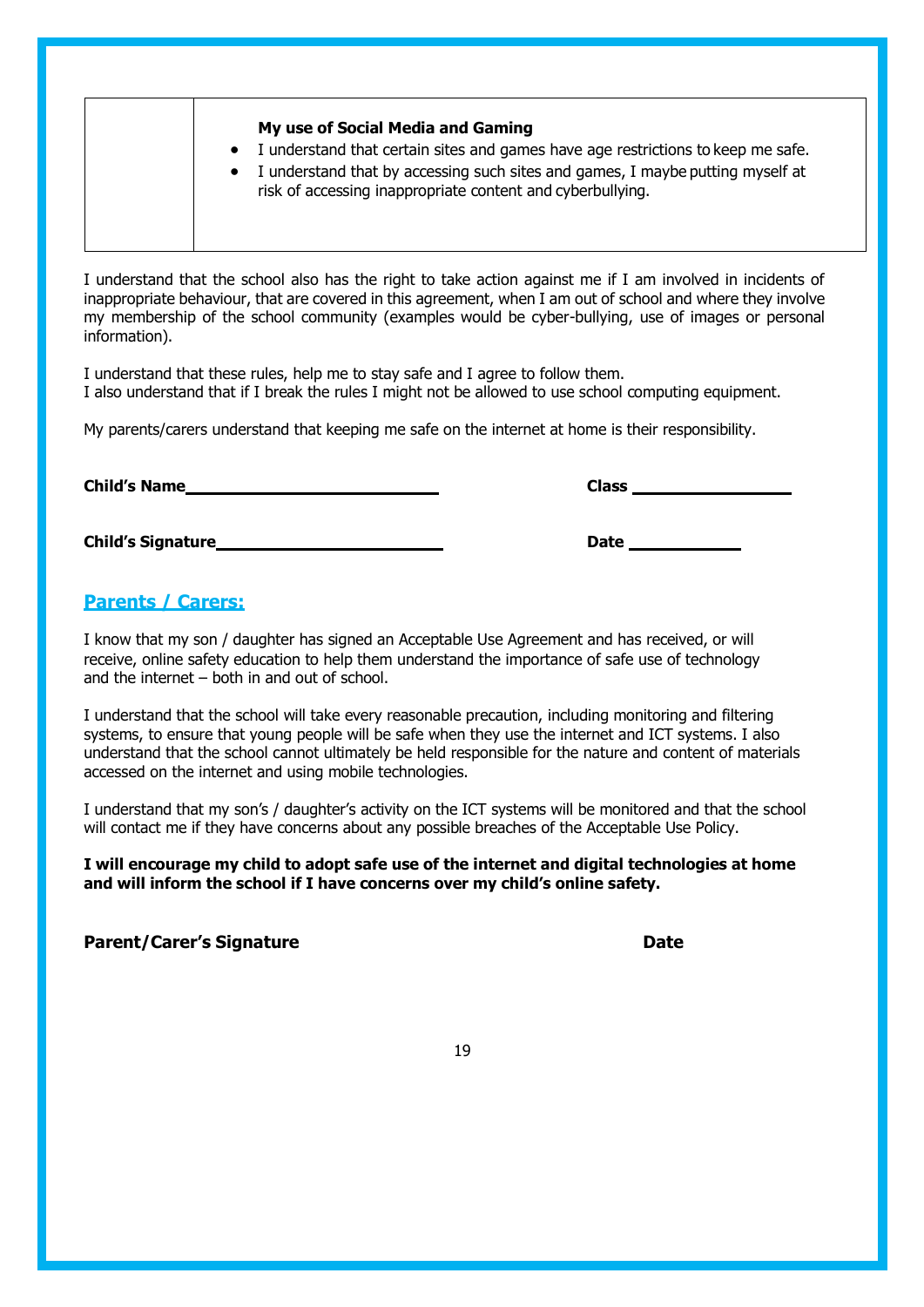| I understand that certain sites and games have age restrictions to keep me safe.<br>$\bullet$<br>I understand that by accessing such sites and games, I maybe putting myself at<br>$\bullet$<br>risk of accessing inappropriate content and cyberbullying. |
|------------------------------------------------------------------------------------------------------------------------------------------------------------------------------------------------------------------------------------------------------------|
|------------------------------------------------------------------------------------------------------------------------------------------------------------------------------------------------------------------------------------------------------------|

I understand that the school also has the right to take action against me if I am involved in incidents of inappropriate behaviour, that are covered in this agreement, when I am out of school and where they involve my membership of the school community (examples would be cyber-bullying, use of images or personal information).

I understand that these rules, help me to stay safe and I agree to follow them. I also understand that if I break the rules I might not be allowed to use school computing equipment.

My parents/carers understand that keeping me safe on the internet at home is their responsibility.

**Child's Name Class**

**Child's Signature Date Date Date Date Date Date Date Date Date Date Date Date Date Date Date D** 

#### **Parents / Carers:**

I know that my son / daughter has signed an Acceptable Use Agreement and has received, or will receive, online safety education to help them understand the importance of safe use of technology and the internet – both in and out of school.

I understand that the school will take every reasonable precaution, including monitoring and filtering systems, to ensure that young people will be safe when they use the internet and ICT systems. I also understand that the school cannot ultimately be held responsible for the nature and content of materials accessed on the internet and using mobile technologies.

I understand that my son's / daughter's activity on the ICT systems will be monitored and that the school will contact me if they have concerns about any possible breaches of the Acceptable Use Policy.

**I will encourage my child to adopt safe use of the internet and digital technologies at home and will inform the school if I have concerns over my child's online safety.**

**Parent/Carer's Signature Date**